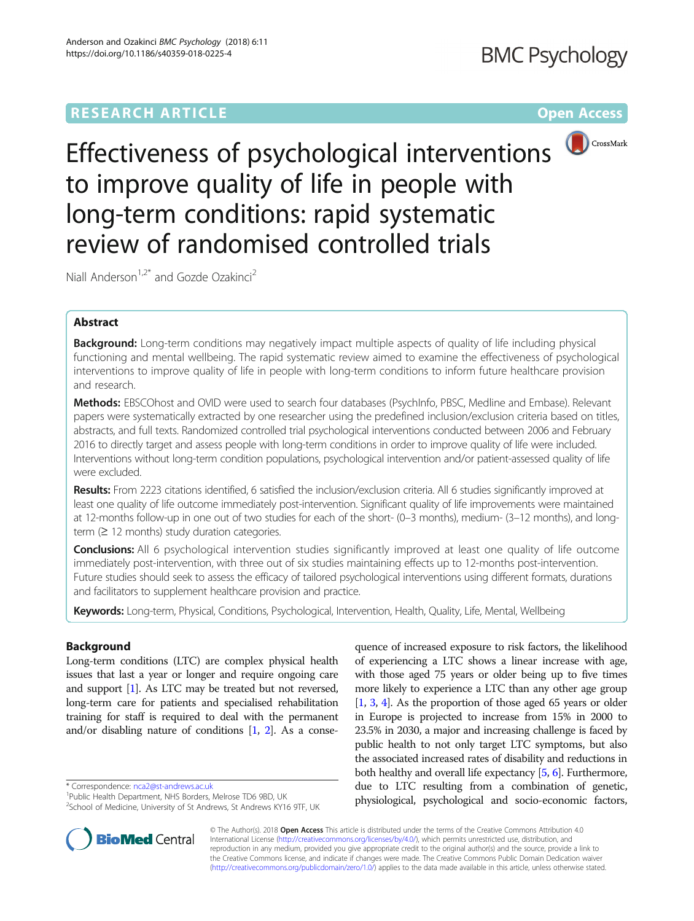# **RESEARCH ARTICLE Example 2014 12:30 The Contract of Contract ACCESS**



Effectiveness of psychological interventions to improve quality of life in people with long-term conditions: rapid systematic review of randomised controlled trials

Niall Anderson<sup>1,2\*</sup> and Gozde Ozakinci<sup>2</sup>

# Abstract

Background: Long-term conditions may negatively impact multiple aspects of quality of life including physical functioning and mental wellbeing. The rapid systematic review aimed to examine the effectiveness of psychological interventions to improve quality of life in people with long-term conditions to inform future healthcare provision and research.

Methods: EBSCOhost and OVID were used to search four databases (PsychInfo, PBSC, Medline and Embase). Relevant papers were systematically extracted by one researcher using the predefined inclusion/exclusion criteria based on titles, abstracts, and full texts. Randomized controlled trial psychological interventions conducted between 2006 and February 2016 to directly target and assess people with long-term conditions in order to improve quality of life were included. Interventions without long-term condition populations, psychological intervention and/or patient-assessed quality of life were excluded.

Results: From 2223 citations identified, 6 satisfied the inclusion/exclusion criteria. All 6 studies significantly improved at least one quality of life outcome immediately post-intervention. Significant quality of life improvements were maintained at 12-months follow-up in one out of two studies for each of the short- (0–3 months), medium- (3–12 months), and longterm (≥ 12 months) study duration categories.

Conclusions: All 6 psychological intervention studies significantly improved at least one quality of life outcome immediately post-intervention, with three out of six studies maintaining effects up to 12-months post-intervention. Future studies should seek to assess the efficacy of tailored psychological interventions using different formats, durations and facilitators to supplement healthcare provision and practice.

Keywords: Long-term, Physical, Conditions, Psychological, Intervention, Health, Quality, Life, Mental, Wellbeing

# Background

Long-term conditions (LTC) are complex physical health issues that last a year or longer and require ongoing care and support [\[1](#page-14-0)]. As LTC may be treated but not reversed, long-term care for patients and specialised rehabilitation training for staff is required to deal with the permanent and/or disabling nature of conditions [\[1,](#page-14-0) [2\]](#page-14-0). As a conse-

\* Correspondence: [nca2@st-andrews.ac.uk](mailto:nca2@st-andrews.ac.uk) <sup>1</sup>

Public Health Department, NHS Borders, Melrose TD6 9BD, UK <sup>2</sup>School of Medicine, University of St Andrews, St Andrews KY16 9TF, UK

quence of increased exposure to risk factors, the likelihood of experiencing a LTC shows a linear increase with age, with those aged 75 years or older being up to five times more likely to experience a LTC than any other age group [[1](#page-14-0), [3](#page-14-0), [4](#page-14-0)]. As the proportion of those aged 65 years or older in Europe is projected to increase from 15% in 2000 to 23.5% in 2030, a major and increasing challenge is faced by public health to not only target LTC symptoms, but also the associated increased rates of disability and reductions in both healthy and overall life expectancy [\[5,](#page-14-0) [6\]](#page-14-0). Furthermore, due to LTC resulting from a combination of genetic, physiological, psychological and socio-economic factors,



© The Author(s). 2018 Open Access This article is distributed under the terms of the Creative Commons Attribution 4.0 International License [\(http://creativecommons.org/licenses/by/4.0/](http://creativecommons.org/licenses/by/4.0/)), which permits unrestricted use, distribution, and reproduction in any medium, provided you give appropriate credit to the original author(s) and the source, provide a link to the Creative Commons license, and indicate if changes were made. The Creative Commons Public Domain Dedication waiver [\(http://creativecommons.org/publicdomain/zero/1.0/](http://creativecommons.org/publicdomain/zero/1.0/)) applies to the data made available in this article, unless otherwise stated.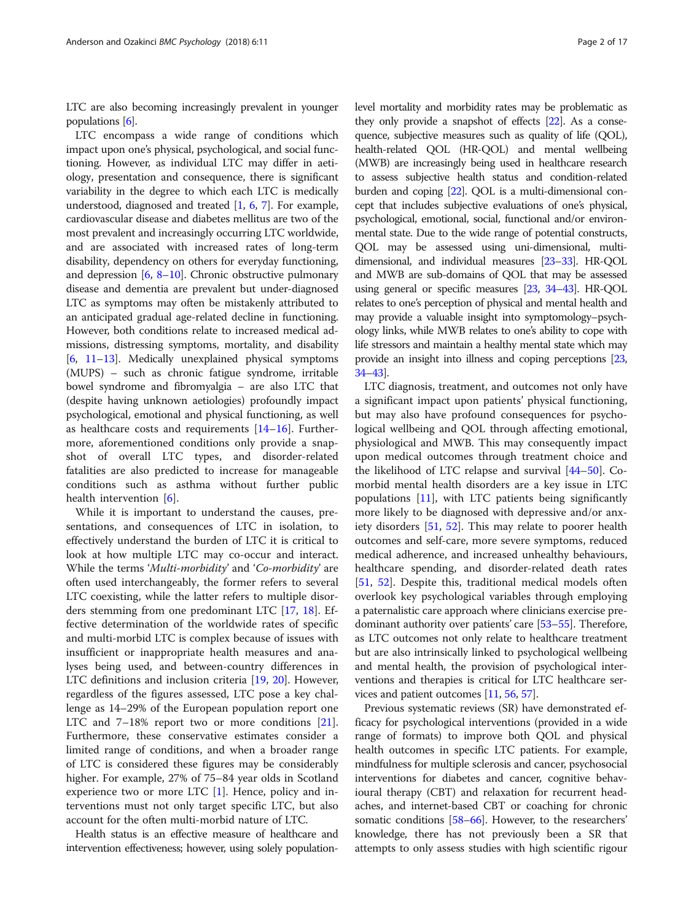LTC are also becoming increasingly prevalent in younger populations [\[6\]](#page-14-0).

LTC encompass a wide range of conditions which impact upon one's physical, psychological, and social functioning. However, as individual LTC may differ in aetiology, presentation and consequence, there is significant variability in the degree to which each LTC is medically understood, diagnosed and treated [[1,](#page-14-0) [6](#page-14-0), [7](#page-14-0)]. For example, cardiovascular disease and diabetes mellitus are two of the most prevalent and increasingly occurring LTC worldwide, and are associated with increased rates of long-term disability, dependency on others for everyday functioning, and depression  $[6, 8-10]$  $[6, 8-10]$  $[6, 8-10]$  $[6, 8-10]$  $[6, 8-10]$ . Chronic obstructive pulmonary disease and dementia are prevalent but under-diagnosed LTC as symptoms may often be mistakenly attributed to an anticipated gradual age-related decline in functioning. However, both conditions relate to increased medical admissions, distressing symptoms, mortality, and disability  $[6, 11-13]$  $[6, 11-13]$  $[6, 11-13]$  $[6, 11-13]$  $[6, 11-13]$  $[6, 11-13]$  $[6, 11-13]$ . Medically unexplained physical symptoms (MUPS) – such as chronic fatigue syndrome, irritable bowel syndrome and fibromyalgia – are also LTC that (despite having unknown aetiologies) profoundly impact psychological, emotional and physical functioning, as well as healthcare costs and requirements  $[14–16]$  $[14–16]$  $[14–16]$ . Furthermore, aforementioned conditions only provide a snapshot of overall LTC types, and disorder-related fatalities are also predicted to increase for manageable conditions such as asthma without further public health intervention [\[6](#page-14-0)].

While it is important to understand the causes, presentations, and consequences of LTC in isolation, to effectively understand the burden of LTC it is critical to look at how multiple LTC may co-occur and interact. While the terms 'Multi-morbidity' and 'Co-morbidity' are often used interchangeably, the former refers to several LTC coexisting, while the latter refers to multiple disorders stemming from one predominant LTC [\[17](#page-14-0), [18\]](#page-14-0). Effective determination of the worldwide rates of specific and multi-morbid LTC is complex because of issues with insufficient or inappropriate health measures and analyses being used, and between-country differences in LTC definitions and inclusion criteria [[19](#page-14-0), [20\]](#page-14-0). However, regardless of the figures assessed, LTC pose a key challenge as 14–29% of the European population report one LTC and 7-18% report two or more conditions [\[21](#page-14-0)]. Furthermore, these conservative estimates consider a limited range of conditions, and when a broader range of LTC is considered these figures may be considerably higher. For example, 27% of 75–84 year olds in Scotland experience two or more LTC  $[1]$  $[1]$ . Hence, policy and interventions must not only target specific LTC, but also account for the often multi-morbid nature of LTC.

Health status is an effective measure of healthcare and intervention effectiveness; however, using solely populationlevel mortality and morbidity rates may be problematic as they only provide a snapshot of effects [\[22](#page-14-0)]. As a consequence, subjective measures such as quality of life (QOL), health-related QOL (HR-QOL) and mental wellbeing (MWB) are increasingly being used in healthcare research to assess subjective health status and condition-related burden and coping [\[22](#page-14-0)]. QOL is a multi-dimensional concept that includes subjective evaluations of one's physical, psychological, emotional, social, functional and/or environmental state. Due to the wide range of potential constructs, QOL may be assessed using uni-dimensional, multidimensional, and individual measures [\[23](#page-14-0)–[33](#page-15-0)]. HR-QOL and MWB are sub-domains of QOL that may be assessed using general or specific measures [\[23,](#page-14-0) [34](#page-15-0)–[43](#page-15-0)]. HR-QOL relates to one's perception of physical and mental health and may provide a valuable insight into symptomology–psychology links, while MWB relates to one's ability to cope with life stressors and maintain a healthy mental state which may provide an insight into illness and coping perceptions [\[23](#page-14-0), [34](#page-15-0)–[43](#page-15-0)].

LTC diagnosis, treatment, and outcomes not only have a significant impact upon patients' physical functioning, but may also have profound consequences for psychological wellbeing and QOL through affecting emotional, physiological and MWB. This may consequently impact upon medical outcomes through treatment choice and the likelihood of LTC relapse and survival [[44](#page-15-0)–[50](#page-15-0)]. Comorbid mental health disorders are a key issue in LTC populations  $[11]$  $[11]$  $[11]$ , with LTC patients being significantly more likely to be diagnosed with depressive and/or anxiety disorders [\[51](#page-15-0), [52\]](#page-15-0). This may relate to poorer health outcomes and self-care, more severe symptoms, reduced medical adherence, and increased unhealthy behaviours, healthcare spending, and disorder-related death rates [[51,](#page-15-0) [52](#page-15-0)]. Despite this, traditional medical models often overlook key psychological variables through employing a paternalistic care approach where clinicians exercise predominant authority over patients' care [[53](#page-15-0)–[55\]](#page-15-0). Therefore, as LTC outcomes not only relate to healthcare treatment but are also intrinsically linked to psychological wellbeing and mental health, the provision of psychological interventions and therapies is critical for LTC healthcare services and patient outcomes [[11](#page-14-0), [56,](#page-15-0) [57](#page-15-0)].

Previous systematic reviews (SR) have demonstrated efficacy for psychological interventions (provided in a wide range of formats) to improve both QOL and physical health outcomes in specific LTC patients. For example, mindfulness for multiple sclerosis and cancer, psychosocial interventions for diabetes and cancer, cognitive behavioural therapy (CBT) and relaxation for recurrent headaches, and internet-based CBT or coaching for chronic somatic conditions [\[58](#page-15-0)–[66](#page-15-0)]. However, to the researchers' knowledge, there has not previously been a SR that attempts to only assess studies with high scientific rigour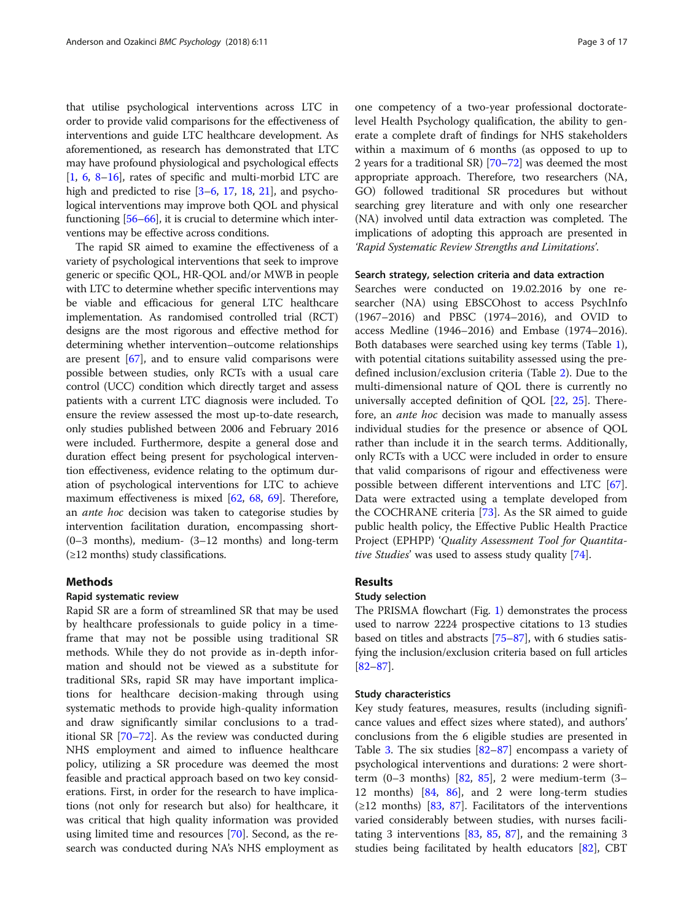that utilise psychological interventions across LTC in order to provide valid comparisons for the effectiveness of interventions and guide LTC healthcare development. As aforementioned, as research has demonstrated that LTC may have profound physiological and psychological effects [[1,](#page-14-0) [6,](#page-14-0) [8](#page-14-0)–[16\]](#page-14-0), rates of specific and multi-morbid LTC are high and predicted to rise [\[3](#page-14-0)–[6,](#page-14-0) [17](#page-14-0), [18,](#page-14-0) [21\]](#page-14-0), and psychological interventions may improve both QOL and physical functioning [\[56](#page-15-0)–[66\]](#page-15-0), it is crucial to determine which interventions may be effective across conditions.

The rapid SR aimed to examine the effectiveness of a variety of psychological interventions that seek to improve generic or specific QOL, HR-QOL and/or MWB in people with LTC to determine whether specific interventions may be viable and efficacious for general LTC healthcare implementation. As randomised controlled trial (RCT) designs are the most rigorous and effective method for determining whether intervention–outcome relationships are present  $[67]$  $[67]$  $[67]$ , and to ensure valid comparisons were possible between studies, only RCTs with a usual care control (UCC) condition which directly target and assess patients with a current LTC diagnosis were included. To ensure the review assessed the most up-to-date research, only studies published between 2006 and February 2016 were included. Furthermore, despite a general dose and duration effect being present for psychological intervention effectiveness, evidence relating to the optimum duration of psychological interventions for LTC to achieve maximum effectiveness is mixed [\[62,](#page-15-0) [68,](#page-15-0) [69\]](#page-15-0). Therefore, an ante hoc decision was taken to categorise studies by intervention facilitation duration, encompassing short- (0–3 months), medium- (3–12 months) and long-term  $(\geq 12$  months) study classifications.

#### Methods

# Rapid systematic review

Rapid SR are a form of streamlined SR that may be used by healthcare professionals to guide policy in a timeframe that may not be possible using traditional SR methods. While they do not provide as in-depth information and should not be viewed as a substitute for traditional SRs, rapid SR may have important implications for healthcare decision-making through using systematic methods to provide high-quality information and draw significantly similar conclusions to a traditional SR [[70](#page-15-0)–[72](#page-15-0)]. As the review was conducted during NHS employment and aimed to influence healthcare policy, utilizing a SR procedure was deemed the most feasible and practical approach based on two key considerations. First, in order for the research to have implications (not only for research but also) for healthcare, it was critical that high quality information was provided using limited time and resources [\[70\]](#page-15-0). Second, as the research was conducted during NA's NHS employment as

one competency of a two-year professional doctoratelevel Health Psychology qualification, the ability to generate a complete draft of findings for NHS stakeholders within a maximum of 6 months (as opposed to up to 2 years for a traditional SR) [\[70](#page-15-0)–[72\]](#page-15-0) was deemed the most appropriate approach. Therefore, two researchers (NA, GO) followed traditional SR procedures but without searching grey literature and with only one researcher (NA) involved until data extraction was completed. The implications of adopting this approach are presented in 'Rapid Systematic Review Strengths and Limitations'.

#### Search strategy, selection criteria and data extraction

Searches were conducted on 19.02.2016 by one researcher (NA) using EBSCOhost to access PsychInfo (1967–2016) and PBSC (1974–2016), and OVID to access Medline (1946–2016) and Embase (1974–2016). Both databases were searched using key terms (Table [1](#page-3-0)), with potential citations suitability assessed using the predefined inclusion/exclusion criteria (Table [2\)](#page-3-0). Due to the multi-dimensional nature of QOL there is currently no universally accepted definition of QOL [\[22](#page-14-0), [25](#page-14-0)]. Therefore, an ante hoc decision was made to manually assess individual studies for the presence or absence of QOL rather than include it in the search terms. Additionally, only RCTs with a UCC were included in order to ensure that valid comparisons of rigour and effectiveness were possible between different interventions and LTC [\[67](#page-15-0)]. Data were extracted using a template developed from the COCHRANE criteria [\[73\]](#page-15-0). As the SR aimed to guide public health policy, the Effective Public Health Practice Project (EPHPP) 'Quality Assessment Tool for Quantita-tive Studies' was used to assess study quality [[74](#page-15-0)].

#### Results

# Study selection

The PRISMA flowchart (Fig. [1](#page-4-0)) demonstrates the process used to narrow 2224 prospective citations to 13 studies based on titles and abstracts [\[75](#page-15-0)–[87](#page-16-0)], with 6 studies satisfying the inclusion/exclusion criteria based on full articles [[82](#page-15-0)–[87\]](#page-16-0).

## Study characteristics

Key study features, measures, results (including significance values and effect sizes where stated), and authors' conclusions from the 6 eligible studies are presented in Table [3](#page-5-0). The six studies [[82](#page-15-0)–[87\]](#page-16-0) encompass a variety of psychological interventions and durations: 2 were shortterm  $(0-3$  months) [[82,](#page-15-0) [85](#page-16-0)], 2 were medium-term  $(3-$ 12 months) [[84,](#page-16-0) [86\]](#page-16-0), and 2 were long-term studies  $(\geq 12$  months) [\[83](#page-16-0), [87\]](#page-16-0). Facilitators of the interventions varied considerably between studies, with nurses facilitating 3 interventions [[83,](#page-16-0) [85,](#page-16-0) [87](#page-16-0)], and the remaining 3 studies being facilitated by health educators [[82\]](#page-15-0), CBT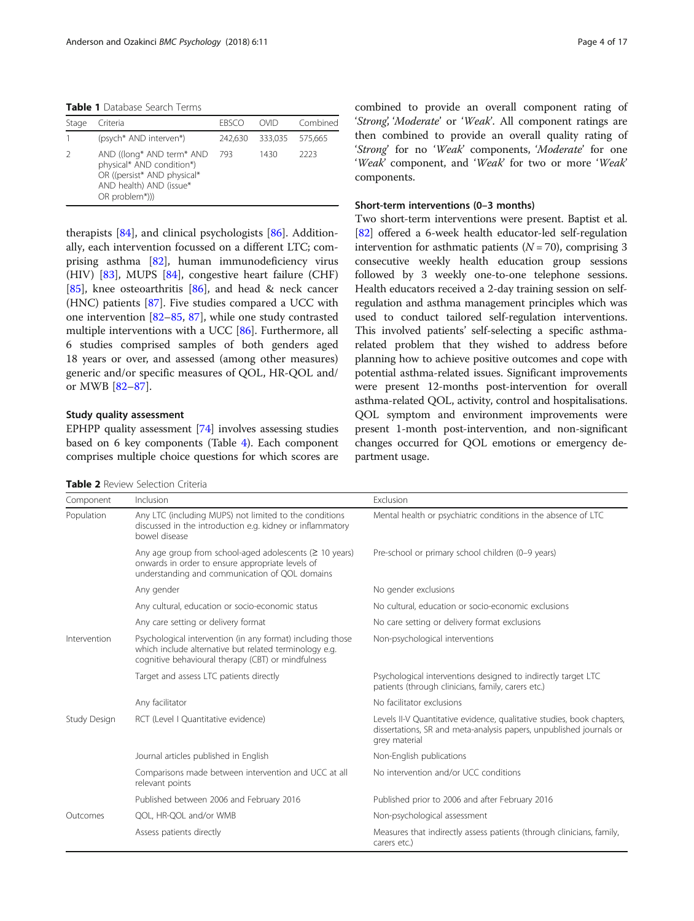<span id="page-3-0"></span>Table 1 Database Search Terms

| Stage | Criteria                                                                                                                           | <b>FBSCO</b> | <b>OVID</b> | Combined |
|-------|------------------------------------------------------------------------------------------------------------------------------------|--------------|-------------|----------|
|       | (psych* AND interven*)                                                                                                             | 242.630      | 333,035     | 575.665  |
|       | AND ((long* AND term* AND<br>physical* AND condition*)<br>OR ((persist* AND physical*<br>AND health) AND (issue*<br>OR problem*))) | 793          | 1430        | 2223     |

therapists [[84\]](#page-16-0), and clinical psychologists [\[86](#page-16-0)]. Additionally, each intervention focussed on a different LTC; comprising asthma [[82\]](#page-15-0), human immunodeficiency virus (HIV) [[83](#page-16-0)], MUPS [[84](#page-16-0)], congestive heart failure (CHF) [[85\]](#page-16-0), knee osteoarthritis [[86\]](#page-16-0), and head & neck cancer (HNC) patients [\[87\]](#page-16-0). Five studies compared a UCC with one intervention [\[82](#page-15-0)–[85,](#page-16-0) [87\]](#page-16-0), while one study contrasted multiple interventions with a UCC [[86](#page-16-0)]. Furthermore, all 6 studies comprised samples of both genders aged 18 years or over, and assessed (among other measures) generic and/or specific measures of QOL, HR-QOL and/ or MWB [\[82](#page-15-0)–[87\]](#page-16-0).

# Study quality assessment

EPHPP quality assessment [\[74\]](#page-15-0) involves assessing studies based on 6 key components (Table [4\)](#page-9-0). Each component comprises multiple choice questions for which scores are

Table 2 Review Selection Criteria

combined to provide an overall component rating of 'Strong', 'Moderate' or 'Weak'. All component ratings are then combined to provide an overall quality rating of 'Strong' for no 'Weak' components, 'Moderate' for one 'Weak' component, and 'Weak' for two or more 'Weak' components.

## Short-term interventions (0–3 months)

Two short-term interventions were present. Baptist et al. [[82](#page-15-0)] offered a 6-week health educator-led self-regulation intervention for asthmatic patients  $(N = 70)$ , comprising 3 consecutive weekly health education group sessions followed by 3 weekly one-to-one telephone sessions. Health educators received a 2-day training session on selfregulation and asthma management principles which was used to conduct tailored self-regulation interventions. This involved patients' self-selecting a specific asthmarelated problem that they wished to address before planning how to achieve positive outcomes and cope with potential asthma-related issues. Significant improvements were present 12-months post-intervention for overall asthma-related QOL, activity, control and hospitalisations. QOL symptom and environment improvements were present 1-month post-intervention, and non-significant changes occurred for QOL emotions or emergency department usage.

| Component           | Inclusion                                                                                                                                                                  | Exclusion                                                                                                                                                      |  |  |
|---------------------|----------------------------------------------------------------------------------------------------------------------------------------------------------------------------|----------------------------------------------------------------------------------------------------------------------------------------------------------------|--|--|
| Population          | Any LTC (including MUPS) not limited to the conditions<br>discussed in the introduction e.g. kidney or inflammatory<br>bowel disease                                       | Mental health or psychiatric conditions in the absence of LTC                                                                                                  |  |  |
|                     | Any age group from school-aged adolescents ( $\geq$ 10 years)<br>onwards in order to ensure appropriate levels of<br>understanding and communication of QOL domains        | Pre-school or primary school children (0-9 years)                                                                                                              |  |  |
|                     | Any gender                                                                                                                                                                 | No gender exclusions                                                                                                                                           |  |  |
|                     | Any cultural, education or socio-economic status                                                                                                                           | No cultural, education or socio-economic exclusions                                                                                                            |  |  |
|                     | Any care setting or delivery format                                                                                                                                        | No care setting or delivery format exclusions                                                                                                                  |  |  |
| Intervention        | Psychological intervention (in any format) including those<br>which include alternative but related terminology e.g.<br>cognitive behavioural therapy (CBT) or mindfulness | Non-psychological interventions                                                                                                                                |  |  |
|                     | Target and assess LTC patients directly                                                                                                                                    | Psychological interventions designed to indirectly target LTC<br>patients (through clinicians, family, carers etc.)                                            |  |  |
|                     | Any facilitator                                                                                                                                                            | No facilitator exclusions                                                                                                                                      |  |  |
| <b>Study Design</b> | RCT (Level I Quantitative evidence)                                                                                                                                        | Levels II-V Quantitative evidence, qualitative studies, book chapters,<br>dissertations, SR and meta-analysis papers, unpublished journals or<br>grey material |  |  |
|                     | Journal articles published in English                                                                                                                                      | Non-English publications                                                                                                                                       |  |  |
|                     | Comparisons made between intervention and UCC at all<br>relevant points                                                                                                    | No intervention and/or UCC conditions                                                                                                                          |  |  |
|                     | Published between 2006 and February 2016                                                                                                                                   | Published prior to 2006 and after February 2016                                                                                                                |  |  |
| Outcomes            | OOL, HR-OOL and/or WMB                                                                                                                                                     | Non-psychological assessment                                                                                                                                   |  |  |
|                     | Assess patients directly                                                                                                                                                   | Measures that indirectly assess patients (through clinicians, family,<br>carers etc.)                                                                          |  |  |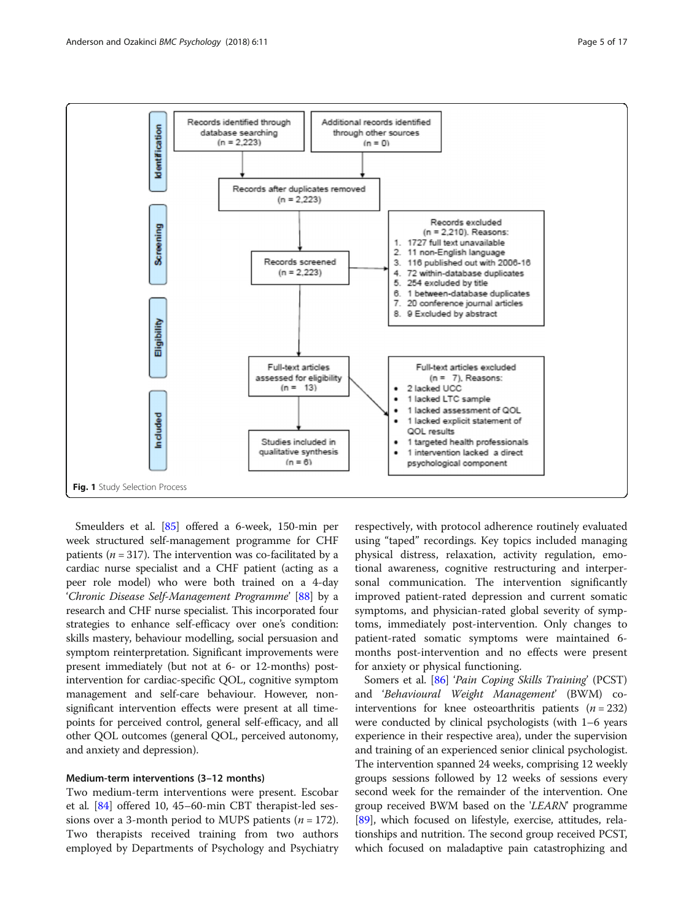<span id="page-4-0"></span>

Smeulders et al. [[85](#page-16-0)] offered a 6-week, 150-min per week structured self-management programme for CHF patients ( $n = 317$ ). The intervention was co-facilitated by a cardiac nurse specialist and a CHF patient (acting as a peer role model) who were both trained on a 4-day 'Chronic Disease Self-Management Programme' [\[88\]](#page-16-0) by a research and CHF nurse specialist. This incorporated four strategies to enhance self-efficacy over one's condition: skills mastery, behaviour modelling, social persuasion and symptom reinterpretation. Significant improvements were present immediately (but not at 6- or 12-months) postintervention for cardiac-specific QOL, cognitive symptom management and self-care behaviour. However, nonsignificant intervention effects were present at all timepoints for perceived control, general self-efficacy, and all other QOL outcomes (general QOL, perceived autonomy, and anxiety and depression).

# Medium-term interventions (3–12 months)

Two medium-term interventions were present. Escobar et al. [[84\]](#page-16-0) offered 10, 45–60-min CBT therapist-led sessions over a 3-month period to MUPS patients ( $n = 172$ ). Two therapists received training from two authors employed by Departments of Psychology and Psychiatry respectively, with protocol adherence routinely evaluated using "taped" recordings. Key topics included managing physical distress, relaxation, activity regulation, emotional awareness, cognitive restructuring and interpersonal communication. The intervention significantly improved patient-rated depression and current somatic symptoms, and physician-rated global severity of symptoms, immediately post-intervention. Only changes to patient-rated somatic symptoms were maintained 6 months post-intervention and no effects were present for anxiety or physical functioning.

Somers et al. [[86](#page-16-0)] 'Pain Coping Skills Training' (PCST) and 'Behavioural Weight Management' (BWM) cointerventions for knee osteoarthritis patients  $(n = 232)$ were conducted by clinical psychologists (with 1–6 years experience in their respective area), under the supervision and training of an experienced senior clinical psychologist. The intervention spanned 24 weeks, comprising 12 weekly groups sessions followed by 12 weeks of sessions every second week for the remainder of the intervention. One group received BWM based on the 'LEARN' programme [[89](#page-16-0)], which focused on lifestyle, exercise, attitudes, relationships and nutrition. The second group received PCST, which focused on maladaptive pain catastrophizing and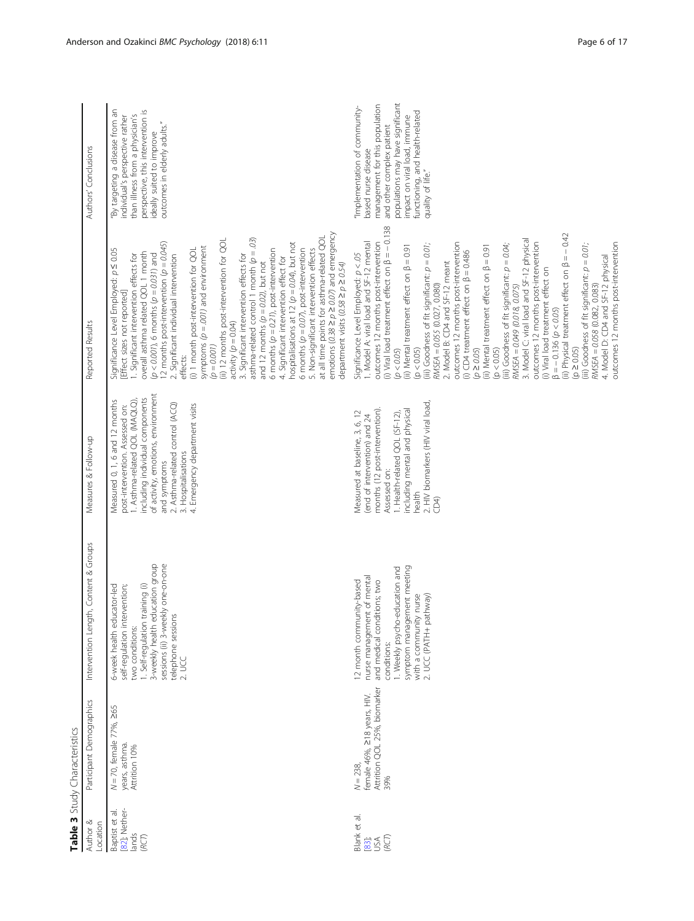<span id="page-5-0"></span>

|                                                   | Table 3 Study Characteristics                                                   |                                                                                                                                                                                                                              |                                                                                                                                                                                                                                                                                                  |                                                                                                                                                                                                                                                                                                                                                                                                                                                                                                                                                                                                                                                                                                                                                                                                                                                                                                                                                                                                                                                                  |                                                                                                                                                                                                                                                 |
|---------------------------------------------------|---------------------------------------------------------------------------------|------------------------------------------------------------------------------------------------------------------------------------------------------------------------------------------------------------------------------|--------------------------------------------------------------------------------------------------------------------------------------------------------------------------------------------------------------------------------------------------------------------------------------------------|------------------------------------------------------------------------------------------------------------------------------------------------------------------------------------------------------------------------------------------------------------------------------------------------------------------------------------------------------------------------------------------------------------------------------------------------------------------------------------------------------------------------------------------------------------------------------------------------------------------------------------------------------------------------------------------------------------------------------------------------------------------------------------------------------------------------------------------------------------------------------------------------------------------------------------------------------------------------------------------------------------------------------------------------------------------|-------------------------------------------------------------------------------------------------------------------------------------------------------------------------------------------------------------------------------------------------|
| Author &<br>Location                              | Participant Demographics                                                        | Intervention Length, Content & Groups                                                                                                                                                                                        | Measures & Follow-up                                                                                                                                                                                                                                                                             | Reported Results                                                                                                                                                                                                                                                                                                                                                                                                                                                                                                                                                                                                                                                                                                                                                                                                                                                                                                                                                                                                                                                 | Authors' Conclusions                                                                                                                                                                                                                            |
| Baptist et al.<br>[82]; Nether-<br>lands<br>(RCT) | N = 70, female 77%, 265<br>years, asthma.<br>Attrition 10%                      | 3-weekly health education group<br>sessions (ii) 3-weekly one-on-one<br>training (i)<br>6-week health educator-led<br>self-regulation intervention;<br>telephone sessions<br>1. Self-regulation<br>two conditions:<br>2. UCC | of activity, emotions, environment<br>including individual components<br>Vleasured 0, 1, 6 and 12 months<br>I. Asthma-related QOL (MAQLQ),<br>2. Asthma-related control (ACQ)<br>4. Emergency department visits<br>post-intervention. Assessed on:<br>Hospitalisations<br>and symptoms<br>$\sim$ | emotions (0.38 $\ge$ $p \ge$ 0.07) and emergency<br>at all time points for asthma-related QOL<br>asthma-related control 1 month $(p=.03)$<br>(ii) 12 months post-intervention for QOL<br>12 months post-intervention $(p = 0.045)$<br>hospitalisations at 12 ( $p = 0.04$ ), but not<br>symptoms $(p = .001)$ and environment<br>5. Non-significant intervention effects<br>6 months ( $p = 0.27$ ), post-intervention<br>6 months ( $p = 0.07$ ), post-intervention<br>Significance Level Employed: p < 0.05<br>(i) 1 month post-intervention for QOL<br>overall asthma related QOL 1 month<br>$(p < 0.001)$ , 6 months $(p = 0.031)$ and<br>1. Significant intervention effects for<br>2. Significant individual intervention<br>3. Significant intervention effects for<br>4. Significant intervention effect for<br>and 12 months $(p = 0.02)$ , but not<br>department visits $(0.58 \ge p \ge 0.54)$<br>[Effect sizes not reported]<br>activity $(p = 0.04)$<br>$(p = 0.001)$<br>effects:                                                                   | "By targeting a disease from an<br>perspective, this intervention is<br>than illness from a physician's<br>individual's perspective rather<br>outcomes in elderly adults."<br>ideally suited to improve                                         |
| Blank et al.<br><b>GCT</b><br>$\frac{33}{55}$     | Attrition QOL 25%, biomarker<br>female 46%, 218 years, HIV.<br>$N = 238$<br>39% | symptom management meeting<br>1. Weekly psycho-education and<br>nurse management of mental<br>12 month community-based<br>and medical conditions; two<br>2. UCC (PATH+ pathway)<br>with a community nurse<br>conditions:     | 2. HIV biomarkers (HIV viral load,<br>months (12 post-intervention).<br>including mental and physical<br>Measured at baseline, 3, 6, 12<br>1. Health-related QOL (SF-12),<br>(end of intervention) and 24<br>Assessed on:<br>health<br>CD4)                                                      | (i) Viral load treatment effect on $\beta = -0.138$<br>(ii) Physical treatment effect on $\beta = -0.42$<br>3. Model C: viral load and SF-12 physical<br>outcomes 12 months post-intervention<br>outcomes 12 months post-intervention<br>outcomes 12 months post-intervention<br>outcomes 12 months post-intervention<br>1. Model A: viral load and SF-12 mental<br>(iii) Goodness of fit significant: $p = 0.07$ ;<br>(iii) Goodness of fit significant: $p = 0.07$ ;<br>RMSEA = $0.055$ (0.027, 0.080)<br>(iii) Goodness of fit significant: $p = 0.04$ ;<br>$(p < 0.05)$<br>(ii) Mental treatment effect on $\beta = 0.91$<br>(ii) Mental treatment effect on $\beta = 0.91$<br>(i) CD4 treatment effect on $\beta = 0.486$<br>Significance Level Employed: $p < .05$<br>4. Model D: CD4 and SF-12 physical<br>2. Model B: CD4 and SF-12 meant<br>(i) Viral load treatment effect on<br>RMSEA = 0.058 (0.082, 0.083)<br>RMSEA = 0.049 (0.018, 0.075)<br>$\beta = -0.136 \; (\rho < 0.05)$<br>$(p \ge 0.05)$<br>(p < 0.05)<br>(p < 0.05)<br>$(\rho \geq 0.05)$ | populations may have significant<br>management for this population<br>"Implementation of community-<br>functioning, and health-related<br>impact on viral load, immune<br>and other complex patient<br>based nurse disease<br>quality of life." |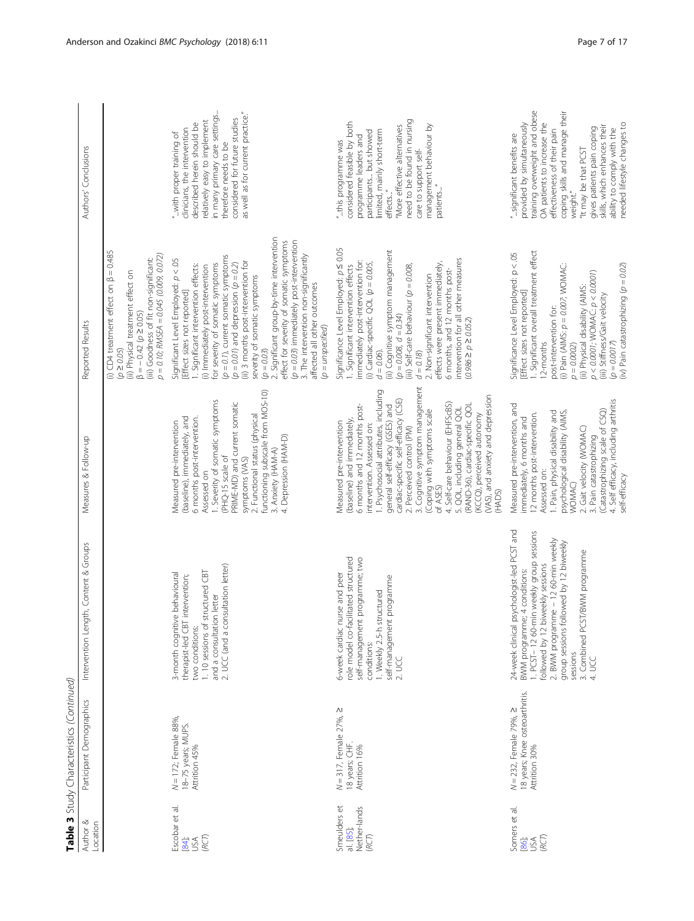|                                                         | Table 3 Study Characteristics (Continued)                                         |                                                                                                                                                                                                                                                                                                       |                                                                                                                                                                                                                                                                                                                                                                                                                                                                                                                                            |                                                                                                                                                                                                                                                                                                                                                                                                                                                                                                                                                                                                        |                                                                                                                                                                                                                                                                                                                                                         |
|---------------------------------------------------------|-----------------------------------------------------------------------------------|-------------------------------------------------------------------------------------------------------------------------------------------------------------------------------------------------------------------------------------------------------------------------------------------------------|--------------------------------------------------------------------------------------------------------------------------------------------------------------------------------------------------------------------------------------------------------------------------------------------------------------------------------------------------------------------------------------------------------------------------------------------------------------------------------------------------------------------------------------------|--------------------------------------------------------------------------------------------------------------------------------------------------------------------------------------------------------------------------------------------------------------------------------------------------------------------------------------------------------------------------------------------------------------------------------------------------------------------------------------------------------------------------------------------------------------------------------------------------------|---------------------------------------------------------------------------------------------------------------------------------------------------------------------------------------------------------------------------------------------------------------------------------------------------------------------------------------------------------|
| Author &<br>Location                                    | Participant Demographics                                                          | gth, Content & Groups<br>Intervention Len                                                                                                                                                                                                                                                             | Measures & Follow-up                                                                                                                                                                                                                                                                                                                                                                                                                                                                                                                       | Reported Results                                                                                                                                                                                                                                                                                                                                                                                                                                                                                                                                                                                       | Authors' Conclusions                                                                                                                                                                                                                                                                                                                                    |
|                                                         |                                                                                   |                                                                                                                                                                                                                                                                                                       |                                                                                                                                                                                                                                                                                                                                                                                                                                                                                                                                            | (i) CD4 treatment effect on $\beta = 0.485$<br>$p = 0.10$ ; RMSEA = 0.045 (0.009, 0.072)<br>(iii) Goodness of fit non-significant:<br>(ii) Physical treatment effect on<br>$\beta = -0.42$ ( $p \ge 0.05$ )<br>$(\rho \geq 0.05)$                                                                                                                                                                                                                                                                                                                                                                      |                                                                                                                                                                                                                                                                                                                                                         |
| Escobar et al.<br>(RC)<br>84];<br>USA                   | N = 172; Female 88%,<br>18-75 years; MUPS.<br>Attrition 45%                       | 2. UCC (and a consultation letter)<br>structured CBT<br>3-month cognitive behavioural<br>intervention;<br>and a consultation letter<br>therapist-led CBT<br>1.10 sessions of<br>two conditions:                                                                                                       | functioning subscale from MOS-10)<br>1. Severity of somatic symptoms<br>PRIME-MD) and current somatic<br>2. Functional status (physical<br>6 months post-intervention.<br>(baseline), immediately, and<br>Measured pre-intervention<br>4. Depression (HAM-D)<br>3. Anxiety (HAM-A)<br>(PHQ-15 scale of<br>symptoms (VAS)<br>Assessed on                                                                                                                                                                                                    | 2. Significant group-by-time intervention<br>$(p = 0.03)$ immediately post-intervention<br>effect for severity of somatic symptoms<br>3. The intervention non-significantly<br>$(p = 0.1)$ , current somatic symptoms<br>Significant Level Employed: $p < .05$<br>(ii) 3 months post-intervention for<br>for severity of somatic symptoms<br>$(p = 0.01)$ and depression $(p = 0.2)$<br>1. Significant intervention effects:<br>(i) Immediately post-intervention<br>severity of somatic symptoms<br>affected all other outcomes<br>[Effect sizes not reported]<br>$(p = unspecified)$<br>$(p = 0.03)$ | as well as for current practice."<br>in many primary care settings<br>considered for future studies<br>relatively easy to implement<br>described herein should be<br>clinicians, the intervention<br>" with proper training of<br>therefore needs to be                                                                                                 |
| Smeulders et<br>Nether-lands<br>al. [85].<br><b>RCT</b> | $N = 317$ , Female 27%, 2<br>18 years; CHF.<br>Attrition 16%                      | role model co-facilitated structured<br>self-management programme; two<br>6-week cardiac nurse and peer<br>self-management programme<br>1. Weekly 2.5-h structured<br>conditions:<br>2. UCC                                                                                                           | 3. Cognitive symptom management<br>1. Psychosocial attributes, including<br>(VAS), and anxiety and depression<br>cardiac-specific self-efficacy (CSE)<br>4. Self-care behaviour (EHFScBS)<br>6 months and 12 months post-<br>(RAND-36), cardiac-specific QOL<br>general self-efficacy (GSES) and<br>5. QOL, including general QOL<br>(Coping with symptoms scale<br>(KCC), perceived autonomy<br>(baseline) and immediately,<br>Measured pre-intervention<br>intervention. Assessed on:<br>2. Perceived control (PM)<br>of ASES)<br>(HADS) | Significance Level Employed: p < 0.05<br>(ii) Cognitive symptom management<br>intervention for all other measures<br>immediately post-intervention for:<br>effects were present immediately,<br>(i) Cardiac-specific QOL $(p = 0.005,$<br>1. Significant intervention effects<br>(iii) Self-care behaviour (p = 0.008,<br>6 months, and 12 months post-<br>2. Non-significant intervention<br>$(p = 0.008, d = 0.34)$<br>$(0.986 \ge p \ge 0.052)$<br>$d = 0.06$<br>$d = 0.18$                                                                                                                         | need to be found in nursing<br>considered feasible by both<br>management behaviour by<br>"More effective alternatives<br>limited, mainly short-term<br>participants but showed<br>programme leaders and<br>this programme was<br>care to support self-<br>patients"<br>effects                                                                          |
| Somers et al.<br><b>SSE</b>                             | 18 years; Knee osteoarthritis.<br>$N = 232$ , Female 79%, $\geq$<br>Attrition 30% | psychologist-led PCST and<br>1. PCST-12 60-min weekly group sessions<br>2. BWM programme - 12 60-min weekly<br>group sessions followed by 12 biweekly<br>3. Combined PCST/BWM programme<br>followed by 12 biweekly sessions<br>BWM programme; 4 conditions:<br>24-week clinical<br>sessions<br>4. UCC | 4. Self efficacy, including arthritis<br>Measured pre-intervention, and<br>(Catastrophizing scale of CSQ)<br>psychological disability (AIMS,<br>1. Pain, physical disability and<br>12 months post-intervention.<br>immediately, 6 months and<br>2. Gait velocity (WOMAC)<br>3. Pain catastrophizing<br>Assessed on:<br>self-efficacy<br>WOMAC)                                                                                                                                                                                            | 1. Significant overall treatment effect<br>Significance Level Employed: p <.05<br>(i) Pain (AIMS: $p = 0.007$ ; WOMAC:<br>(iv) Pain catastrophizing $(p = 0.02)$<br>$p < 0.0001$ ; WOMAC: $p < 0.0001$ )<br>(ii) Physical disability (AIMS:<br>[Effect sizes not reported]<br>(iii) Stiffness/Gait velocity<br>post-intervention for:<br>12-months<br>$\varphi = 0.0017$<br>$p = 0.0002$                                                                                                                                                                                                               | training overweight and obese<br>coping skills and manage their<br>provided by simultaneously<br>OA patients to increase the<br>needed lifestyle changes to<br>skills, which enhances their<br>gives patients pain coping<br>ability to comply with the<br>effectiveness of their pain<br>"significant benefits are<br>"It may be that PCST<br>weight." |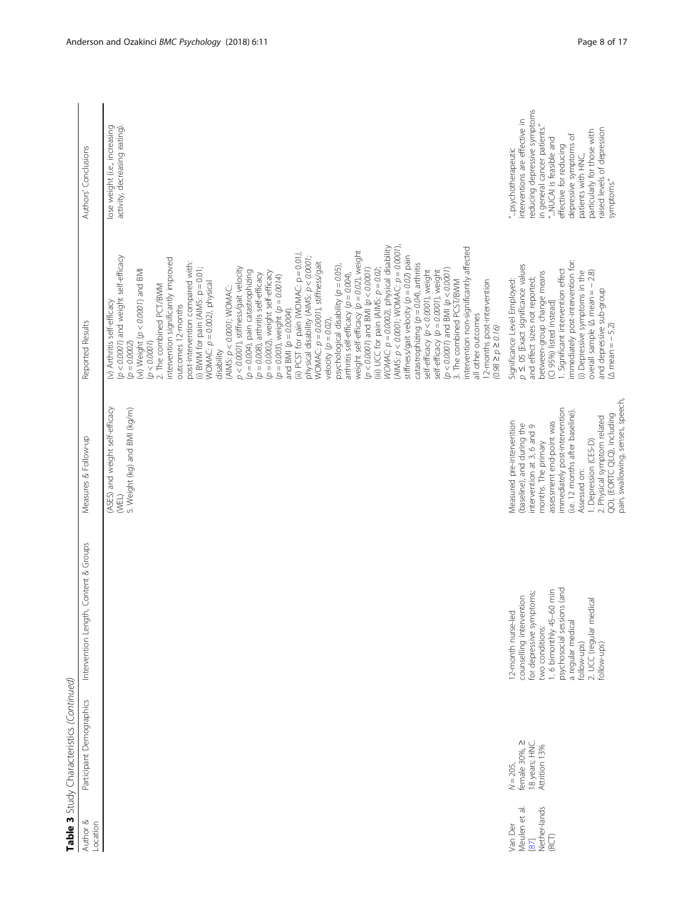|                                                           | Table 3 Study Characteristics (Continued)                       |                                                                                                                                                                                                                                      |                                                                                                                                                                                                                                                                                                                                                          |                                                                                                                                                                                                                                                                                                                                                                                                                                                                                                                                                                                                                                                                                                                                                                                                                                                                                                                                                                                                                                                                                                                                                                                                                                                                                                                                                                                                                                                                                         |                                                                                                                                                                                                                                                                                                      |
|-----------------------------------------------------------|-----------------------------------------------------------------|--------------------------------------------------------------------------------------------------------------------------------------------------------------------------------------------------------------------------------------|----------------------------------------------------------------------------------------------------------------------------------------------------------------------------------------------------------------------------------------------------------------------------------------------------------------------------------------------------------|-----------------------------------------------------------------------------------------------------------------------------------------------------------------------------------------------------------------------------------------------------------------------------------------------------------------------------------------------------------------------------------------------------------------------------------------------------------------------------------------------------------------------------------------------------------------------------------------------------------------------------------------------------------------------------------------------------------------------------------------------------------------------------------------------------------------------------------------------------------------------------------------------------------------------------------------------------------------------------------------------------------------------------------------------------------------------------------------------------------------------------------------------------------------------------------------------------------------------------------------------------------------------------------------------------------------------------------------------------------------------------------------------------------------------------------------------------------------------------------------|------------------------------------------------------------------------------------------------------------------------------------------------------------------------------------------------------------------------------------------------------------------------------------------------------|
| Author &<br>Location                                      | Participant Demographics                                        | Intervention Length, Content & Groups                                                                                                                                                                                                | Measures & Follow-up                                                                                                                                                                                                                                                                                                                                     | Reported Results                                                                                                                                                                                                                                                                                                                                                                                                                                                                                                                                                                                                                                                                                                                                                                                                                                                                                                                                                                                                                                                                                                                                                                                                                                                                                                                                                                                                                                                                        | Authors' Conclusions                                                                                                                                                                                                                                                                                 |
|                                                           |                                                                 |                                                                                                                                                                                                                                      | (ASES) and weight self-efficacy<br>5. Weight (kg) and BMI (kg/m)<br>(WEL                                                                                                                                                                                                                                                                                 | (AIMS: $p < 0.0001$ ; WOMAC: $p = 0.0001$ ),<br>WOMAC: p = 0.0002), physical disability<br>intervention non-significantly affected<br>weight self-efficacy $(p = 0.02)$ , weight<br>(ii) PCST for pain (WOMAC: $p = 0.01$ ),<br>stiffness/gait velocity ( $p = 0.02$ ) pain<br>physical disability (AIMS: p < 0.0001;<br>(p < 0.0001) and weight self-efficacy<br>intervention significantly improved<br>WOMAC: p = 0.0001), stiffness/gait<br>post-intervention compared with:<br>catastrophizing $(p = 0.04)$ , arthritis<br>psychological disability $(p = 0.05)$ ,<br>(i) BWM for pain (AIMS: $p = 0.01$ ;<br>p < 0.0001), stiffness/gait velocity<br>$(p < 0.0001)$ and BMI $(p < 0.0001)$<br>$(p < 0.0001)$ and BMI $(p < 0.0001)$<br>self-efficacy (p < 0.0001), weight<br>(iii) UCC for pain (AIMS: $p = 0.02$ ;<br>(vi) Weight (p < 0.0001) and BMI<br>$(p = 0.004)$ , pain catastrophizing<br>self-efficacy (p = 0.0001), weight<br>$(p = 0.0002)$ , weight self-efficacy<br>$(p = 0.008)$ , arthritis self-efficacy<br>arthritis self-efficacy $(p = 0.004)$ ,<br>$(p = 0.003)$ , weight $(p = 0.0014)$<br>3. The combined PCST/BWM<br>12-months post-intervention<br>$WOMAC: p = 0.002$ ), physical<br>2. The combined PCT/BWM<br>(AIMS: $p < 0.0001$ ; WOMAC:<br>(v) Arthritis self-efficacy<br>outcomes 12-months<br>and BMI $(p = 0.0004)$ .<br>all other outcomes<br>velocity $(p = 0.02)$ ,<br>$(0.98 \ge p \ge 0.16)$<br>$(p = 0.0002)$<br>(p < 0.0001)<br>disability | lose weight (i.e., increasing<br>activity, decreasing eating).                                                                                                                                                                                                                                       |
| Meulen et al.<br>Nether-lands<br>Van Der<br>(RCT)<br>[87] | female 30%, 2<br>18 years; HNC.<br>Attrition 13%<br>$N = 205$ , | psychosocial sessions (and<br>1.6 bimonthly 45-60 min<br>for depressive symptoms;<br>counselling intervention<br>2. UCC (regular medical<br>12-month nurse-led<br>a regular medical<br>two conditions:<br>follow-ups)<br>follow-ups) | pain, swallowing, senses, speech,<br>immediately post-intervention<br>(i.e. 12 months after baseline).<br>QOL (EORTC QLQ), including<br>2. Physical symptom related<br>Measured pre-intervention<br>assessment end-point was<br>(baseline), and during the<br>intervention at 3, 6 and 9<br>I. Depression (CES-D)<br>months. The primary<br>Assessed on: | immediately post-intervention for:<br>p < 05 [Exact significance values<br>1. Significant intervention effect<br>overall sample $(\Delta$ mean = $-2.8)$<br>between-group change means<br>(i) Depressive symptoms in the<br>and effect sizes not reported;<br>Significance Level Employed:<br>and depressive sub-group<br>(CI 95%) listed instead]<br>$(\Delta$ mean = $-5.2)$                                                                                                                                                                                                                                                                                                                                                                                                                                                                                                                                                                                                                                                                                                                                                                                                                                                                                                                                                                                                                                                                                                          | educing depressive symptoms<br>interventions are effective in<br>in general cancer patients."<br>raised levels of depression<br>particularly for those with<br>depressive symptoms of<br>" NUCAI is feasible and<br>effective for reducing<br>"psychotherapeutic<br>patients with HNC,<br>symptoms." |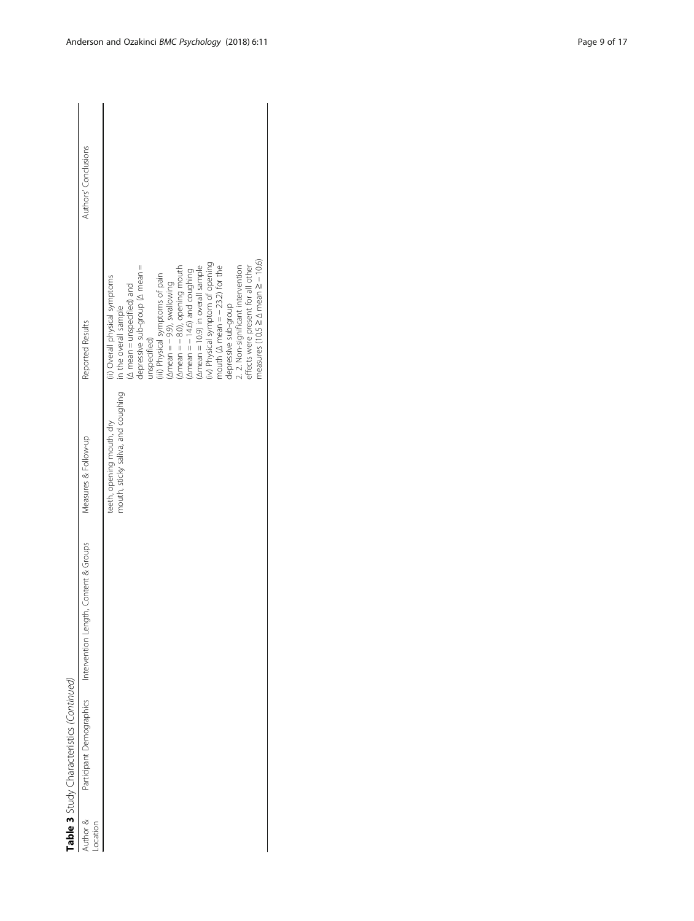|                      | $\sum_{i=1}^{n}$ and $\sum_{i=1}^{n}$ and $\sum_{i=1}^{n}$ and $\sum_{i=1}^{n}$ |                                           |                                                                 |                                                                                                                                                                                                                                                                                                                                                                                                                                                                                                                                                                                            |                      |
|----------------------|---------------------------------------------------------------------------------|-------------------------------------------|-----------------------------------------------------------------|--------------------------------------------------------------------------------------------------------------------------------------------------------------------------------------------------------------------------------------------------------------------------------------------------------------------------------------------------------------------------------------------------------------------------------------------------------------------------------------------------------------------------------------------------------------------------------------------|----------------------|
| Author &<br>Location | Participant Demographics                                                        | gth, Content & Groups<br>Intervention Len | Measures & Follow-up                                            | Reported Results                                                                                                                                                                                                                                                                                                                                                                                                                                                                                                                                                                           | Authors' Conclusions |
|                      |                                                                                 |                                           | mouth, sticky saliva, and coughing<br>teeth, opening mouth, dry | measures (10.5 $\geq$ $\Delta$ mean $\geq$ $-$ 10.6)<br>(iv) Physical symptom of opening<br>mouth ( $\Delta$ mean = $-$ 23.2) for the<br>effects were present for all other<br>depressive sub-group (A mean =<br>(Amean = 10.9) in overall sample<br>2. 2. Non-significant intervention<br>$(\Delta$ mean = $-8.0$ ), opening mouth<br>$(\Delta$ mean = $-14.6$ ) and coughing<br>(iii) Physical symptoms of pain<br>(ii) Overall physical symptoms<br>$(\Delta$ mean = $-9.9$ , swallowing<br>(A mean = unspecified) and<br>depressive sub-group<br>in the overall sample<br>unspecified) |                      |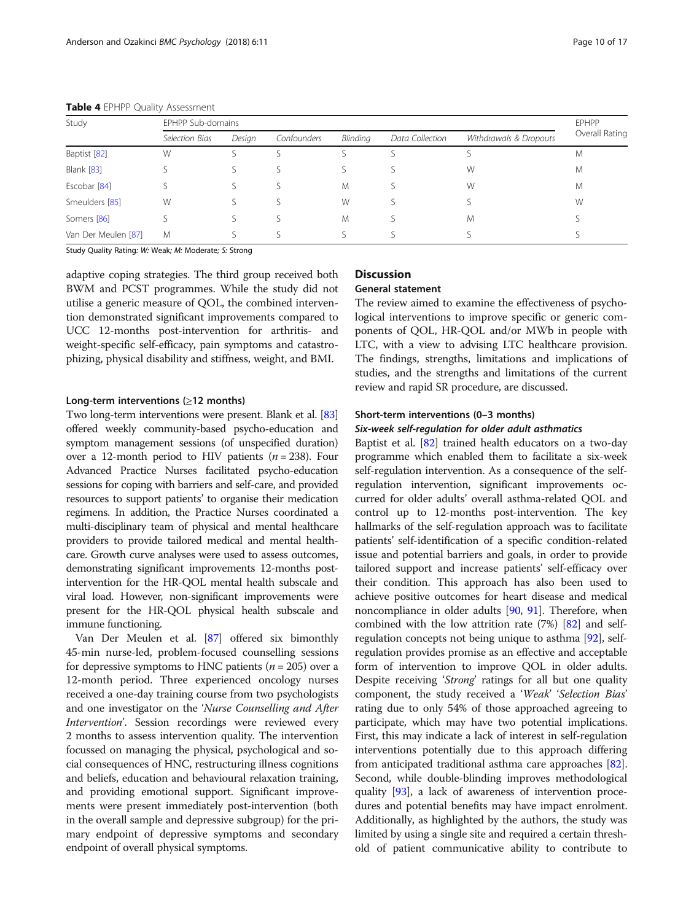<span id="page-9-0"></span>

| Study               | EPHPP Sub-domains |        |             |          |                 |                        |                |
|---------------------|-------------------|--------|-------------|----------|-----------------|------------------------|----------------|
|                     | Selection Bias    | Design | Confounders | Blinding | Data Collection | Withdrawals & Dropouts | Overall Rating |
| Baptist [82]        | W                 |        |             |          |                 |                        | M              |
| <b>Blank</b> [83]   |                   |        |             |          |                 | W                      | M              |
| Escobar [84]        |                   |        |             | M        |                 | W                      | M              |
| Smeulders [85]      | W                 |        |             | W        |                 |                        | W              |
| Somers [86]         |                   |        |             | M        |                 | M                      |                |
| Van Der Meulen [87] | M                 |        |             |          |                 |                        |                |

Study Quality Rating: W: Weak; M: Moderate; S: Strong

adaptive coping strategies. The third group received both BWM and PCST programmes. While the study did not utilise a generic measure of QOL, the combined intervention demonstrated significant improvements compared to UCC 12-months post-intervention for arthritis- and weight-specific self-efficacy, pain symptoms and catastrophizing, physical disability and stiffness, weight, and BMI.

#### Long-term interventions (≥12 months)

Two long-term interventions were present. Blank et al. [\[83](#page-16-0)] offered weekly community-based psycho-education and symptom management sessions (of unspecified duration) over a 12-month period to HIV patients ( $n = 238$ ). Four Advanced Practice Nurses facilitated psycho-education sessions for coping with barriers and self-care, and provided resources to support patients' to organise their medication regimens. In addition, the Practice Nurses coordinated a multi-disciplinary team of physical and mental healthcare providers to provide tailored medical and mental healthcare. Growth curve analyses were used to assess outcomes, demonstrating significant improvements 12-months postintervention for the HR-QOL mental health subscale and viral load. However, non-significant improvements were present for the HR-QOL physical health subscale and immune functioning.

Van Der Meulen et al. [\[87\]](#page-16-0) offered six bimonthly 45-min nurse-led, problem-focused counselling sessions for depressive symptoms to HNC patients ( $n = 205$ ) over a 12-month period. Three experienced oncology nurses received a one-day training course from two psychologists and one investigator on the 'Nurse Counselling and After Intervention'. Session recordings were reviewed every 2 months to assess intervention quality. The intervention focussed on managing the physical, psychological and social consequences of HNC, restructuring illness cognitions and beliefs, education and behavioural relaxation training, and providing emotional support. Significant improvements were present immediately post-intervention (both in the overall sample and depressive subgroup) for the primary endpoint of depressive symptoms and secondary endpoint of overall physical symptoms.

# **Discussion** General statement

The review aimed to examine the effectiveness of psychological interventions to improve specific or generic components of QOL, HR-QOL and/or MWb in people with LTC, with a view to advising LTC healthcare provision. The findings, strengths, limitations and implications of studies, and the strengths and limitations of the current review and rapid SR procedure, are discussed.

# Short-term interventions (0–3 months)

# Six-week self-regulation for older adult asthmatics

Baptist et al. [[82](#page-15-0)] trained health educators on a two-day programme which enabled them to facilitate a six-week self-regulation intervention. As a consequence of the selfregulation intervention, significant improvements occurred for older adults' overall asthma-related QOL and control up to 12-months post-intervention. The key hallmarks of the self-regulation approach was to facilitate patients' self-identification of a specific condition-related issue and potential barriers and goals, in order to provide tailored support and increase patients' self-efficacy over their condition. This approach has also been used to achieve positive outcomes for heart disease and medical noncompliance in older adults [\[90,](#page-16-0) [91](#page-16-0)]. Therefore, when combined with the low attrition rate (7%) [\[82\]](#page-15-0) and selfregulation concepts not being unique to asthma [\[92\]](#page-16-0), selfregulation provides promise as an effective and acceptable form of intervention to improve QOL in older adults. Despite receiving 'Strong' ratings for all but one quality component, the study received a 'Weak' 'Selection Bias' rating due to only 54% of those approached agreeing to participate, which may have two potential implications. First, this may indicate a lack of interest in self-regulation interventions potentially due to this approach differing from anticipated traditional asthma care approaches [[82](#page-15-0)]. Second, while double-blinding improves methodological quality [[93](#page-16-0)], a lack of awareness of intervention procedures and potential benefits may have impact enrolment. Additionally, as highlighted by the authors, the study was limited by using a single site and required a certain threshold of patient communicative ability to contribute to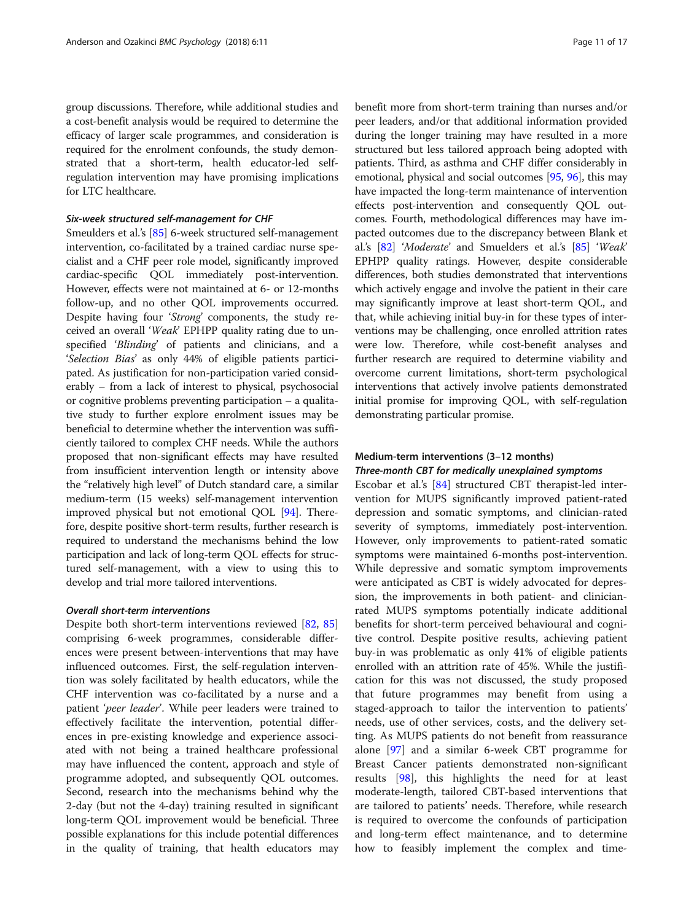group discussions. Therefore, while additional studies and a cost-benefit analysis would be required to determine the efficacy of larger scale programmes, and consideration is required for the enrolment confounds, the study demonstrated that a short-term, health educator-led selfregulation intervention may have promising implications for LTC healthcare.

## Six-week structured self-management for CHF

Smeulders et al.'s [\[85\]](#page-16-0) 6-week structured self-management intervention, co-facilitated by a trained cardiac nurse specialist and a CHF peer role model, significantly improved cardiac-specific QOL immediately post-intervention. However, effects were not maintained at 6- or 12-months follow-up, and no other QOL improvements occurred. Despite having four 'Strong' components, the study received an overall 'Weak' EPHPP quality rating due to unspecified 'Blinding' of patients and clinicians, and a 'Selection Bias' as only 44% of eligible patients participated. As justification for non-participation varied considerably – from a lack of interest to physical, psychosocial or cognitive problems preventing participation – a qualitative study to further explore enrolment issues may be beneficial to determine whether the intervention was sufficiently tailored to complex CHF needs. While the authors proposed that non-significant effects may have resulted from insufficient intervention length or intensity above the "relatively high level" of Dutch standard care, a similar medium-term (15 weeks) self-management intervention improved physical but not emotional QOL [\[94\]](#page-16-0). Therefore, despite positive short-term results, further research is required to understand the mechanisms behind the low participation and lack of long-term QOL effects for structured self-management, with a view to using this to develop and trial more tailored interventions.

## Overall short-term interventions

Despite both short-term interventions reviewed [[82,](#page-15-0) [85](#page-16-0)] comprising 6-week programmes, considerable differences were present between-interventions that may have influenced outcomes. First, the self-regulation intervention was solely facilitated by health educators, while the CHF intervention was co-facilitated by a nurse and a patient 'peer leader'. While peer leaders were trained to effectively facilitate the intervention, potential differences in pre-existing knowledge and experience associated with not being a trained healthcare professional may have influenced the content, approach and style of programme adopted, and subsequently QOL outcomes. Second, research into the mechanisms behind why the 2-day (but not the 4-day) training resulted in significant long-term QOL improvement would be beneficial. Three possible explanations for this include potential differences in the quality of training, that health educators may

benefit more from short-term training than nurses and/or peer leaders, and/or that additional information provided during the longer training may have resulted in a more structured but less tailored approach being adopted with patients. Third, as asthma and CHF differ considerably in emotional, physical and social outcomes [\[95,](#page-16-0) [96](#page-16-0)], this may have impacted the long-term maintenance of intervention effects post-intervention and consequently QOL outcomes. Fourth, methodological differences may have impacted outcomes due to the discrepancy between Blank et al.'s [[82\]](#page-15-0) 'Moderate' and Smuelders et al.'s [[85](#page-16-0)] 'Weak' EPHPP quality ratings. However, despite considerable differences, both studies demonstrated that interventions which actively engage and involve the patient in their care may significantly improve at least short-term QOL, and that, while achieving initial buy-in for these types of interventions may be challenging, once enrolled attrition rates were low. Therefore, while cost-benefit analyses and further research are required to determine viability and overcome current limitations, short-term psychological interventions that actively involve patients demonstrated initial promise for improving QOL, with self-regulation demonstrating particular promise.

# Medium-term interventions (3–12 months)

# Three-month CBT for medically unexplained symptoms

Escobar et al.'s [\[84\]](#page-16-0) structured CBT therapist-led intervention for MUPS significantly improved patient-rated depression and somatic symptoms, and clinician-rated severity of symptoms, immediately post-intervention. However, only improvements to patient-rated somatic symptoms were maintained 6-months post-intervention. While depressive and somatic symptom improvements were anticipated as CBT is widely advocated for depression, the improvements in both patient- and clinicianrated MUPS symptoms potentially indicate additional benefits for short-term perceived behavioural and cognitive control. Despite positive results, achieving patient buy-in was problematic as only 41% of eligible patients enrolled with an attrition rate of 45%. While the justification for this was not discussed, the study proposed that future programmes may benefit from using a staged-approach to tailor the intervention to patients' needs, use of other services, costs, and the delivery setting. As MUPS patients do not benefit from reassurance alone [[97\]](#page-16-0) and a similar 6-week CBT programme for Breast Cancer patients demonstrated non-significant results [[98\]](#page-16-0), this highlights the need for at least moderate-length, tailored CBT-based interventions that are tailored to patients' needs. Therefore, while research is required to overcome the confounds of participation and long-term effect maintenance, and to determine how to feasibly implement the complex and time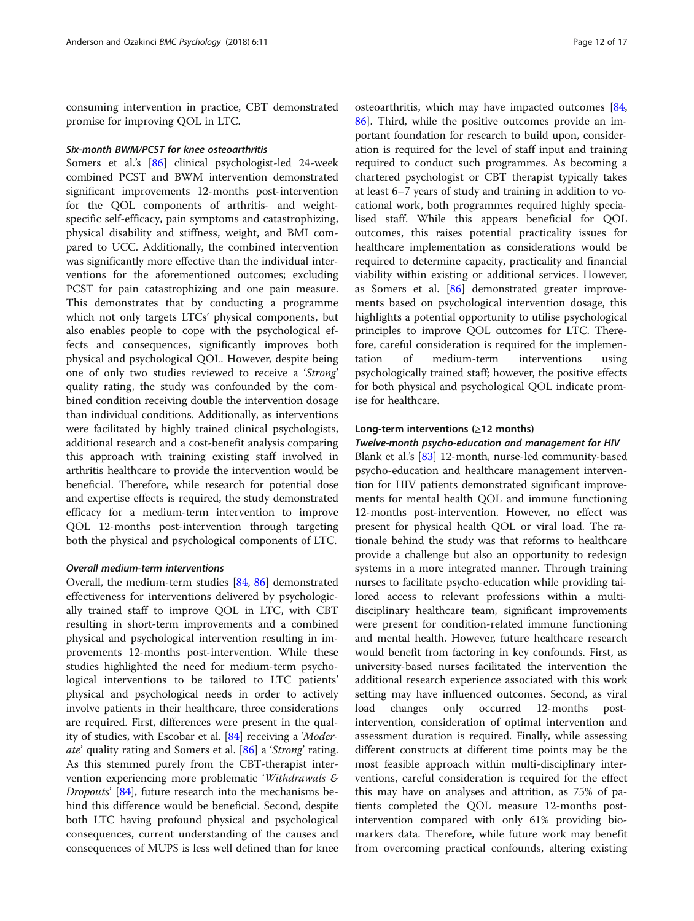consuming intervention in practice, CBT demonstrated promise for improving QOL in LTC.

#### Six-month BWM/PCST for knee osteoarthritis

Somers et al.'s [\[86](#page-16-0)] clinical psychologist-led 24-week combined PCST and BWM intervention demonstrated significant improvements 12-months post-intervention for the QOL components of arthritis- and weightspecific self-efficacy, pain symptoms and catastrophizing, physical disability and stiffness, weight, and BMI compared to UCC. Additionally, the combined intervention was significantly more effective than the individual interventions for the aforementioned outcomes; excluding PCST for pain catastrophizing and one pain measure. This demonstrates that by conducting a programme which not only targets LTCs' physical components, but also enables people to cope with the psychological effects and consequences, significantly improves both physical and psychological QOL. However, despite being one of only two studies reviewed to receive a 'Strong' quality rating, the study was confounded by the combined condition receiving double the intervention dosage than individual conditions. Additionally, as interventions were facilitated by highly trained clinical psychologists, additional research and a cost-benefit analysis comparing this approach with training existing staff involved in arthritis healthcare to provide the intervention would be beneficial. Therefore, while research for potential dose and expertise effects is required, the study demonstrated efficacy for a medium-term intervention to improve QOL 12-months post-intervention through targeting both the physical and psychological components of LTC.

#### Overall medium-term interventions

Overall, the medium-term studies [[84,](#page-16-0) [86\]](#page-16-0) demonstrated effectiveness for interventions delivered by psychologically trained staff to improve QOL in LTC, with CBT resulting in short-term improvements and a combined physical and psychological intervention resulting in improvements 12-months post-intervention. While these studies highlighted the need for medium-term psychological interventions to be tailored to LTC patients' physical and psychological needs in order to actively involve patients in their healthcare, three considerations are required. First, differences were present in the quality of studies, with Escobar et al. [[84\]](#page-16-0) receiving a 'Moderate' quality rating and Somers et al. [[86](#page-16-0)] a 'Strong' rating. As this stemmed purely from the CBT-therapist intervention experiencing more problematic 'Withdrawals & Dropouts' [[84](#page-16-0)], future research into the mechanisms behind this difference would be beneficial. Second, despite both LTC having profound physical and psychological consequences, current understanding of the causes and consequences of MUPS is less well defined than for knee

osteoarthritis, which may have impacted outcomes [[84](#page-16-0), [86\]](#page-16-0). Third, while the positive outcomes provide an important foundation for research to build upon, consideration is required for the level of staff input and training required to conduct such programmes. As becoming a chartered psychologist or CBT therapist typically takes at least 6–7 years of study and training in addition to vocational work, both programmes required highly specialised staff. While this appears beneficial for QOL outcomes, this raises potential practicality issues for healthcare implementation as considerations would be required to determine capacity, practicality and financial viability within existing or additional services. However, as Somers et al. [\[86](#page-16-0)] demonstrated greater improvements based on psychological intervention dosage, this highlights a potential opportunity to utilise psychological principles to improve QOL outcomes for LTC. Therefore, careful consideration is required for the implementation of medium-term interventions using psychologically trained staff; however, the positive effects for both physical and psychological QOL indicate promise for healthcare.

#### Long-term interventions  $(≥12$  months)

## Twelve-month psycho-education and management for HIV

Blank et al.'s [[83\]](#page-16-0) 12-month, nurse-led community-based psycho-education and healthcare management intervention for HIV patients demonstrated significant improvements for mental health QOL and immune functioning 12-months post-intervention. However, no effect was present for physical health QOL or viral load. The rationale behind the study was that reforms to healthcare provide a challenge but also an opportunity to redesign systems in a more integrated manner. Through training nurses to facilitate psycho-education while providing tailored access to relevant professions within a multidisciplinary healthcare team, significant improvements were present for condition-related immune functioning and mental health. However, future healthcare research would benefit from factoring in key confounds. First, as university-based nurses facilitated the intervention the additional research experience associated with this work setting may have influenced outcomes. Second, as viral load changes only occurred 12-months postintervention, consideration of optimal intervention and assessment duration is required. Finally, while assessing different constructs at different time points may be the most feasible approach within multi-disciplinary interventions, careful consideration is required for the effect this may have on analyses and attrition, as 75% of patients completed the QOL measure 12-months postintervention compared with only 61% providing biomarkers data. Therefore, while future work may benefit from overcoming practical confounds, altering existing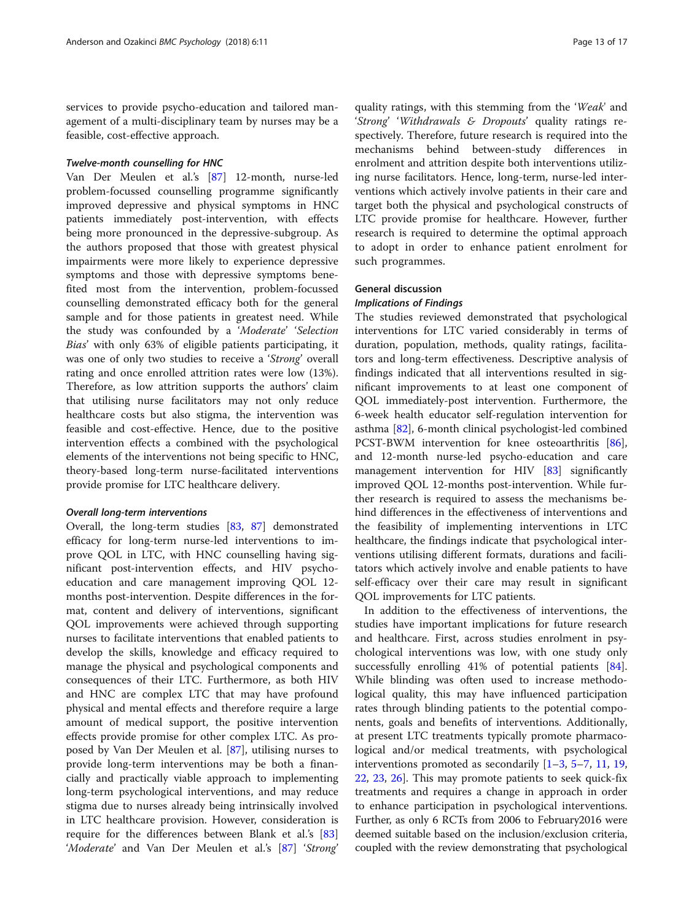services to provide psycho-education and tailored management of a multi-disciplinary team by nurses may be a feasible, cost-effective approach.

# Twelve-month counselling for HNC

Van Der Meulen et al.'s [\[87](#page-16-0)] 12-month, nurse-led problem-focussed counselling programme significantly improved depressive and physical symptoms in HNC patients immediately post-intervention, with effects being more pronounced in the depressive-subgroup. As the authors proposed that those with greatest physical impairments were more likely to experience depressive symptoms and those with depressive symptoms benefited most from the intervention, problem-focussed counselling demonstrated efficacy both for the general sample and for those patients in greatest need. While the study was confounded by a 'Moderate' 'Selection Bias' with only 63% of eligible patients participating, it was one of only two studies to receive a 'Strong' overall rating and once enrolled attrition rates were low (13%). Therefore, as low attrition supports the authors' claim that utilising nurse facilitators may not only reduce healthcare costs but also stigma, the intervention was feasible and cost-effective. Hence, due to the positive intervention effects a combined with the psychological elements of the interventions not being specific to HNC, theory-based long-term nurse-facilitated interventions provide promise for LTC healthcare delivery.

#### Overall long-term interventions

Overall, the long-term studies [[83](#page-16-0), [87](#page-16-0)] demonstrated efficacy for long-term nurse-led interventions to improve QOL in LTC, with HNC counselling having significant post-intervention effects, and HIV psychoeducation and care management improving QOL 12 months post-intervention. Despite differences in the format, content and delivery of interventions, significant QOL improvements were achieved through supporting nurses to facilitate interventions that enabled patients to develop the skills, knowledge and efficacy required to manage the physical and psychological components and consequences of their LTC. Furthermore, as both HIV and HNC are complex LTC that may have profound physical and mental effects and therefore require a large amount of medical support, the positive intervention effects provide promise for other complex LTC. As proposed by Van Der Meulen et al. [\[87](#page-16-0)], utilising nurses to provide long-term interventions may be both a financially and practically viable approach to implementing long-term psychological interventions, and may reduce stigma due to nurses already being intrinsically involved in LTC healthcare provision. However, consideration is require for the differences between Blank et al.'s [[83](#page-16-0)] 'Moderate' and Van Der Meulen et al.'s [[87\]](#page-16-0) 'Strong'

quality ratings, with this stemming from the 'Weak' and 'Strong' 'Withdrawals & Dropouts' quality ratings respectively. Therefore, future research is required into the mechanisms behind between-study differences in enrolment and attrition despite both interventions utilizing nurse facilitators. Hence, long-term, nurse-led interventions which actively involve patients in their care and target both the physical and psychological constructs of LTC provide promise for healthcare. However, further research is required to determine the optimal approach to adopt in order to enhance patient enrolment for such programmes.

# General discussion

# Implications of Findings

The studies reviewed demonstrated that psychological interventions for LTC varied considerably in terms of duration, population, methods, quality ratings, facilitators and long-term effectiveness. Descriptive analysis of findings indicated that all interventions resulted in significant improvements to at least one component of QOL immediately-post intervention. Furthermore, the 6-week health educator self-regulation intervention for asthma [\[82](#page-15-0)], 6-month clinical psychologist-led combined PCST-BWM intervention for knee osteoarthritis [\[86](#page-16-0)], and 12-month nurse-led psycho-education and care management intervention for HIV [\[83](#page-16-0)] significantly improved QOL 12-months post-intervention. While further research is required to assess the mechanisms behind differences in the effectiveness of interventions and the feasibility of implementing interventions in LTC healthcare, the findings indicate that psychological interventions utilising different formats, durations and facilitators which actively involve and enable patients to have self-efficacy over their care may result in significant QOL improvements for LTC patients.

In addition to the effectiveness of interventions, the studies have important implications for future research and healthcare. First, across studies enrolment in psychological interventions was low, with one study only successfully enrolling 41% of potential patients [\[84](#page-16-0)]. While blinding was often used to increase methodological quality, this may have influenced participation rates through blinding patients to the potential components, goals and benefits of interventions. Additionally, at present LTC treatments typically promote pharmacological and/or medical treatments, with psychological interventions promoted as secondarily [\[1](#page-14-0)–[3,](#page-14-0) [5](#page-14-0)–[7](#page-14-0), [11](#page-14-0), [19](#page-14-0), [22,](#page-14-0) [23,](#page-14-0) [26](#page-14-0)]. This may promote patients to seek quick-fix treatments and requires a change in approach in order to enhance participation in psychological interventions. Further, as only 6 RCTs from 2006 to February2016 were deemed suitable based on the inclusion/exclusion criteria, coupled with the review demonstrating that psychological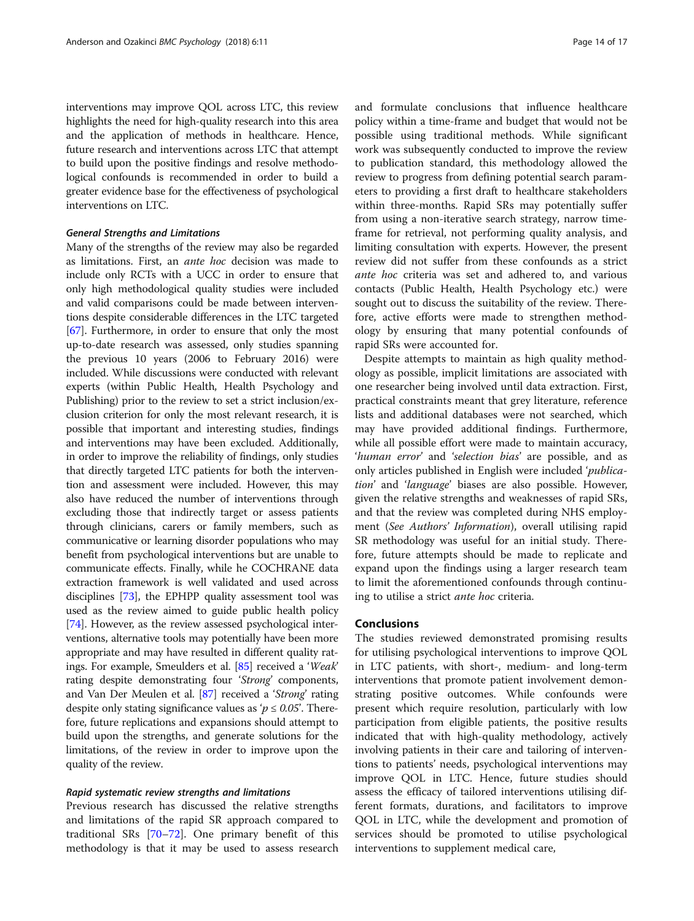interventions may improve QOL across LTC, this review highlights the need for high-quality research into this area and the application of methods in healthcare. Hence, future research and interventions across LTC that attempt to build upon the positive findings and resolve methodological confounds is recommended in order to build a greater evidence base for the effectiveness of psychological interventions on LTC.

# General Strengths and Limitations

Many of the strengths of the review may also be regarded as limitations. First, an ante hoc decision was made to include only RCTs with a UCC in order to ensure that only high methodological quality studies were included and valid comparisons could be made between interventions despite considerable differences in the LTC targeted [[67](#page-15-0)]. Furthermore, in order to ensure that only the most up-to-date research was assessed, only studies spanning the previous 10 years (2006 to February 2016) were included. While discussions were conducted with relevant experts (within Public Health, Health Psychology and Publishing) prior to the review to set a strict inclusion/exclusion criterion for only the most relevant research, it is possible that important and interesting studies, findings and interventions may have been excluded. Additionally, in order to improve the reliability of findings, only studies that directly targeted LTC patients for both the intervention and assessment were included. However, this may also have reduced the number of interventions through excluding those that indirectly target or assess patients through clinicians, carers or family members, such as communicative or learning disorder populations who may benefit from psychological interventions but are unable to communicate effects. Finally, while he COCHRANE data extraction framework is well validated and used across disciplines [[73](#page-15-0)], the EPHPP quality assessment tool was used as the review aimed to guide public health policy [[74](#page-15-0)]. However, as the review assessed psychological interventions, alternative tools may potentially have been more appropriate and may have resulted in different quality ratings. For example, Smeulders et al. [\[85\]](#page-16-0) received a 'Weak' rating despite demonstrating four 'Strong' components, and Van Der Meulen et al. [[87](#page-16-0)] received a 'Strong' rating despite only stating significance values as ' $p \leq 0.05$ '. Therefore, future replications and expansions should attempt to build upon the strengths, and generate solutions for the limitations, of the review in order to improve upon the quality of the review.

# Rapid systematic review strengths and limitations

Previous research has discussed the relative strengths and limitations of the rapid SR approach compared to traditional SRs [\[70](#page-15-0)–[72\]](#page-15-0). One primary benefit of this methodology is that it may be used to assess research

and formulate conclusions that influence healthcare policy within a time-frame and budget that would not be possible using traditional methods. While significant work was subsequently conducted to improve the review to publication standard, this methodology allowed the review to progress from defining potential search parameters to providing a first draft to healthcare stakeholders within three-months. Rapid SRs may potentially suffer from using a non-iterative search strategy, narrow timeframe for retrieval, not performing quality analysis, and limiting consultation with experts. However, the present review did not suffer from these confounds as a strict ante hoc criteria was set and adhered to, and various contacts (Public Health, Health Psychology etc.) were sought out to discuss the suitability of the review. Therefore, active efforts were made to strengthen methodology by ensuring that many potential confounds of rapid SRs were accounted for.

Despite attempts to maintain as high quality methodology as possible, implicit limitations are associated with one researcher being involved until data extraction. First, practical constraints meant that grey literature, reference lists and additional databases were not searched, which may have provided additional findings. Furthermore, while all possible effort were made to maintain accuracy, 'human error' and 'selection bias' are possible, and as only articles published in English were included 'publication' and 'language' biases are also possible. However, given the relative strengths and weaknesses of rapid SRs, and that the review was completed during NHS employment (See Authors' Information), overall utilising rapid SR methodology was useful for an initial study. Therefore, future attempts should be made to replicate and expand upon the findings using a larger research team to limit the aforementioned confounds through continuing to utilise a strict ante hoc criteria.

# Conclusions

The studies reviewed demonstrated promising results for utilising psychological interventions to improve QOL in LTC patients, with short-, medium- and long-term interventions that promote patient involvement demonstrating positive outcomes. While confounds were present which require resolution, particularly with low participation from eligible patients, the positive results indicated that with high-quality methodology, actively involving patients in their care and tailoring of interventions to patients' needs, psychological interventions may improve QOL in LTC. Hence, future studies should assess the efficacy of tailored interventions utilising different formats, durations, and facilitators to improve QOL in LTC, while the development and promotion of services should be promoted to utilise psychological interventions to supplement medical care,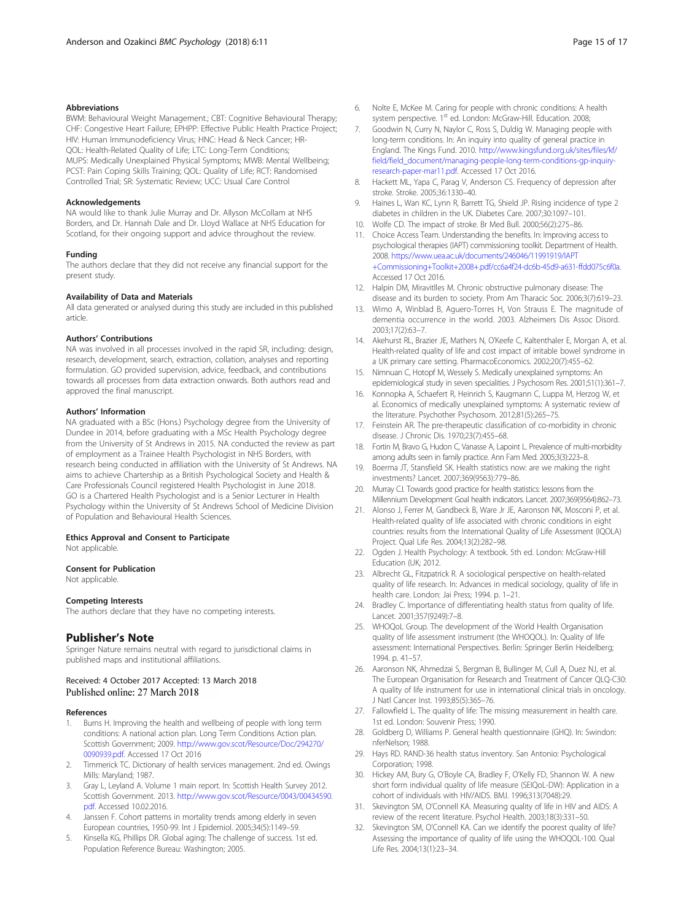## <span id="page-14-0"></span>Abbreviations

BWM: Behavioural Weight Management.; CBT: Cognitive Behavioural Therapy; CHF: Congestive Heart Failure; EPHPP: Effective Public Health Practice Project; HIV: Human Immunodeficiency Virus; HNC: Head & Neck Cancer; HR-QOL: Health-Related Quality of Life; LTC: Long-Term Conditions; MUPS: Medically Unexplained Physical Symptoms; MWB: Mental Wellbeing; PCST: Pain Coping Skills Training; QOL: Quality of Life; RCT: Randomised Controlled Trial; SR: Systematic Review; UCC: Usual Care Control

#### Acknowledgements

NA would like to thank Julie Murray and Dr. Allyson McCollam at NHS Borders, and Dr. Hannah Dale and Dr. Lloyd Wallace at NHS Education for Scotland, for their ongoing support and advice throughout the review.

#### Funding

The authors declare that they did not receive any financial support for the present study.

# Availability of Data and Materials

All data generated or analysed during this study are included in this published article.

#### Authors' Contributions

NA was involved in all processes involved in the rapid SR, including: design, research, development, search, extraction, collation, analyses and reporting formulation. GO provided supervision, advice, feedback, and contributions towards all processes from data extraction onwards. Both authors read and approved the final manuscript.

## Authors' Information

NA graduated with a BSc (Hons.) Psychology degree from the University of Dundee in 2014, before graduating with a MSc Health Psychology degree from the University of St Andrews in 2015. NA conducted the review as part of employment as a Trainee Health Psychologist in NHS Borders, with research being conducted in affiliation with the University of St Andrews. NA aims to achieve Chartership as a British Psychological Society and Health & Care Professionals Council registered Health Psychologist in June 2018. GO is a Chartered Health Psychologist and is a Senior Lecturer in Health Psychology within the University of St Andrews School of Medicine Division of Population and Behavioural Health Sciences.

# Ethics Approval and Consent to Participate

Not applicable.

# Consent for Publication

Not applicable.

#### Competing Interests

The authors declare that they have no competing interests.

#### Publisher's Note

Springer Nature remains neutral with regard to jurisdictional claims in published maps and institutional affiliations.

# Received: 4 October 2017 Accepted: 13 March 2018<br>Published online: 27 March 2018

#### References

- 1. Burns H. Improving the health and wellbeing of people with long term conditions: A national action plan. Long Term Conditions Action plan. Scottish Government; 2009. [http://www.gov.scot/Resource/Doc/294270/](http://www.gov.scot/Resource/Doc/294270/0090939.pdf) [0090939.pdf](http://www.gov.scot/Resource/Doc/294270/0090939.pdf). Accessed 17 Oct 2016
- 2. Timmerick TC. Dictionary of health services management. 2nd ed. Owings Mills: Maryland; 1987.
- 3. Gray L, Leyland A. Volume 1 main report. In: Scottish Health Survey 2012. Scottish Government. 2013. [http://www.gov.scot/Resource/0043/00434590.](http://www.gov.scot/Resource/0043/00434590.pdf) [pdf](http://www.gov.scot/Resource/0043/00434590.pdf). Accessed 10.02.2016.
- Janssen F. Cohort patterns in mortality trends among elderly in seven European countries, 1950-99. Int J Epidemiol. 2005;34(5):1149–59.
- Kinsella KG, Phillips DR. Global aging: The challenge of success. 1st ed. Population Reference Bureau: Washington; 2005.
- 6. Nolte E, McKee M. Caring for people with chronic conditions: A health system perspective. 1<sup>st</sup> ed. London: McGraw-Hill. Education. 2008;
- 7. Goodwin N, Curry N, Naylor C, Ross S, Duldig W. Managing people with long-term conditions. In: An inquiry into quality of general practice in England. The Kings Fund. 2010. [http://www.kingsfund.org.uk/sites/files/kf/](http://www.kingsfund.org.uk/sites/files/kf/field/field_document/managing-people-long-term-conditions-gp-inquiry-research-paper-mar11.pdf) [field/field\\_document/managing-people-long-term-conditions-gp-inquiry](http://www.kingsfund.org.uk/sites/files/kf/field/field_document/managing-people-long-term-conditions-gp-inquiry-research-paper-mar11.pdf)[research-paper-mar11.pdf.](http://www.kingsfund.org.uk/sites/files/kf/field/field_document/managing-people-long-term-conditions-gp-inquiry-research-paper-mar11.pdf) Accessed 17 Oct 2016.
- 8. Hackett ML, Yapa C, Parag V, Anderson CS. Frequency of depression after stroke. Stroke. 2005;36:1330–40.
- 9. Haines L, Wan KC, Lynn R, Barrett TG, Shield JP. Rising incidence of type 2 diabetes in children in the UK. Diabetes Care. 2007;30:1097–101.
- 10. Wolfe CD. The impact of stroke. Br Med Bull. 2000;56(2):275–86.
- 11. Choice Access Team. Understanding the benefits. In: Improving access to psychological therapies (IAPT) commissioning toolkit. Department of Health. 2008. [https://www.uea.ac.uk/documents/246046/11991919/IAPT](https://www.uea.ac.uk/documents/246046/11991919/IAPT+Commissioning+Toolkit+2008+.pdf/cc6a4f24-dc6b-45d9-a631-ffdd075c6f0a) [+Commissioning+Toolkit+2008+.pdf/cc6a4f24-dc6b-45d9-a631-ffdd075c6f0a](https://www.uea.ac.uk/documents/246046/11991919/IAPT+Commissioning+Toolkit+2008+.pdf/cc6a4f24-dc6b-45d9-a631-ffdd075c6f0a). Accessed 17 Oct 2016.
- 12. Halpin DM, Miravitlles M. Chronic obstructive pulmonary disease: The disease and its burden to society. Prom Am Tharacic Soc. 2006;3(7):619–23.
- 13. Wimo A, Winblad B, Aguero-Torres H, Von Strauss E. The magnitude of dementia occurrence in the world. 2003. Alzheimers Dis Assoc Disord. 2003;17(2):63–7.
- 14. Akehurst RL, Brazier JE, Mathers N, O'Keefe C, Kaltenthaler E, Morgan A, et al. Health-related quality of life and cost impact of irritable bowel syndrome in a UK primary care setting. PharmacoEconomics. 2002;20(7):455–62.
- 15. Nimnuan C, Hotopf M, Wessely S. Medically unexplained symptoms: An epidemiological study in seven specialities. J Psychosom Res. 2001;51(1):361–7.
- 16. Konnopka A, Schaefert R, Heinrich S, Kaugmann C, Luppa M, Herzog W, et al. Economics of medically unexplained symptoms: A systematic review of the literature. Psychother Psychosom. 2012;81(5):265–75.
- 17. Feinstein AR. The pre-therapeutic classification of co-morbidity in chronic disease. J Chronic Dis. 1970;23(7):455–68.
- 18. Fortin M, Bravo G, Hudon C, Vanasse A, Lapoint L. Prevalence of multi-morbidity among adults seen in family practice. Ann Fam Med. 2005;3(3):223–8.
- 19. Boerma JT, Stansfield SK. Health statistics now: are we making the right investments? Lancet. 2007;369(9563):779–86.
- 20. Murray CJ. Towards good practice for health statistics: lessons from the Millennium Development Goal health indicators. Lancet. 2007;369(9564):862–73.
- 21. Alonso J, Ferrer M, Gandbeck B, Ware Jr JE, Aaronson NK, Mosconi P, et al. Health-related quality of life associated with chronic conditions in eight countries: results from the International Quality of Life Assessment (IQOLA) Project. Qual Life Res. 2004;13(2):282–98.
- 22. Ogden J. Health Psychology: A textbook. 5th ed. London: McGraw-Hill Education (UK; 2012.
- 23. Albrecht GL, Fitzpatrick R. A sociological perspective on health-related quality of life research. In: Advances in medical sociology, quality of life in health care. London: Jai Press; 1994. p. 1–21.
- 24. Bradley C. Importance of differentiating health status from quality of life. Lancet. 2001;357(9249):7–8.
- 25. WHOQoL Group. The development of the World Health Organisation quality of life assessment instrument (the WHOQOL). In: Quality of life assessment: International Perspectives. Berlin: Springer Berlin Heidelberg; 1994. p. 41–57.
- 26. Aaronson NK, Ahmedzai S, Bergman B, Bullinger M, Cull A, Duez NJ, et al. The European Organisation for Research and Treatment of Cancer QLQ-C30: A quality of life instrument for use in international clinical trials in oncology. J Natl Cancer Inst. 1993;85(5):365–76.
- 27. Fallowfield L. The quality of life: The missing measurement in health care. 1st ed. London: Souvenir Press; 1990.
- 28. Goldberg D, Williams P. General health questionnaire (GHQ). In: Swindon: nferNelson; 1988.
- 29. Hays RD. RAND-36 health status inventory. San Antonio: Psychological Corporation; 1998.
- 30. Hickey AM, Bury G, O'Boyle CA, Bradley F, O'Kelly FD, Shannon W. A new short form individual quality of life measure (SEIQoL-DW): Application in a cohort of individuals with HIV/AIDS. BMJ. 1996;313(7048):29.
- 31. Skevington SM, O'Connell KA. Measuring quality of life in HIV and AIDS: A review of the recent literature. Psychol Health. 2003;18(3):331–50.
- 32. Skevington SM, O'Connell KA. Can we identify the poorest quality of life? Assessing the importance of quality of life using the WHOQOL-100. Qual Life Res. 2004;13(1):23–34.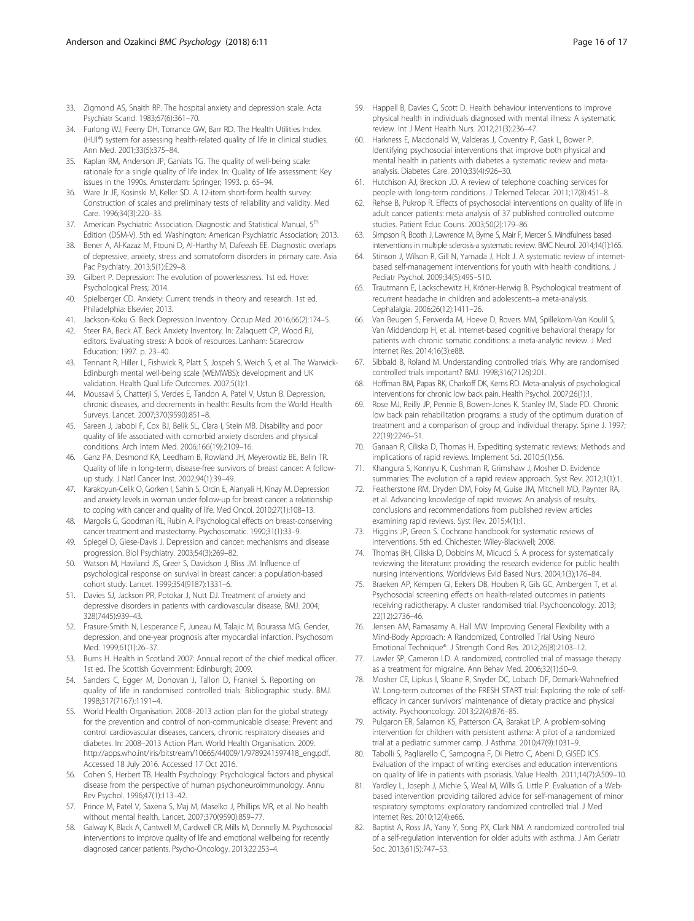- <span id="page-15-0"></span>33. Zigmond AS, Snaith RP. The hospital anxiety and depression scale. Acta Psychiatr Scand. 1983;67(6):361–70.
- 34. Furlong WJ, Feeny DH, Torrance GW, Barr RD. The Health Utilities Index (HUI®) system for assessing health-related quality of life in clinical studies. Ann Med. 2001;33(5):375–84.
- 35. Kaplan RM, Anderson JP, Ganiats TG. The quality of well-being scale: rationale for a single quality of life index. In: Quality of life assessment: Key issues in the 1990s. Amsterdam: Springer; 1993. p. 65–94.
- 36. Ware Jr JE, Kosinski M, Keller SD. A 12-item short-form health survey: Construction of scales and preliminary tests of reliability and validity. Med Care. 1996;34(3):220–33.
- 37. American Psychiatric Association. Diagnostic and Statistical Manual, 5<sup>th</sup> Edition (DSM-V). 5th ed. Washington: American Psychiatric Association; 2013.
- 38. Bener A, Al-Kazaz M, Ftouni D, Al-Harthy M, Dafeeah EE. Diagnostic overlaps of depressive, anxiety, stress and somatoform disorders in primary care. Asia Pac Psychiatry. 2013;5(1):E29–8.
- 39. Gilbert P. Depression: The evolution of powerlessness. 1st ed. Hove: Psychological Press; 2014.
- 40. Spielberger CD. Anxiety: Current trends in theory and research. 1st ed. Philadelphia: Elsevier; 2013.
- 41. Jackson-Koku G. Beck Depression Inventory. Occup Med. 2016;66(2):174–5.
- 42. Steer RA, Beck AT. Beck Anxiety Inventory. In: Zalaquett CP, Wood RJ, editors. Evaluating stress: A book of resources. Lanham: Scarecrow Education; 1997. p. 23–40.
- 43. Tennant R, Hiller L, Fishwick R, Platt S, Jospeh S, Weich S, et al. The Warwick-Edinburgh mental well-being scale (WEMWBS): development and UK validation. Health Qual Life Outcomes. 2007;5(1):1.
- 44. Moussavi S, Chatterji S, Verdes E, Tandon A, Patel V, Ustun B. Depression, chronic diseases, and decrements in health: Results from the World Health Surveys. Lancet. 2007;370(9590):851–8.
- 45. Sareen J, Jabobi F, Cox BJ, Belik SL, Clara I, Stein MB. Disability and poor quality of life associated with comorbid anxiety disorders and physical conditions. Arch Intern Med. 2006;166(19):2109–16.
- 46. Ganz PA, Desmond KA, Leedham B, Rowland JH, Meyerowtiz BE, Belin TR. Quality of life in long-term, disease-free survivors of breast cancer: A followup study. J Natl Cancer Inst. 2002;94(1):39–49.
- 47. Karakoyun-Celik O, Gorken I, Sahin S, Orcin E, Alanyali H, Kinay M. Depression and anxiety levels in woman under follow-up for breast cancer: a relationship to coping with cancer and quality of life. Med Oncol. 2010;27(1):108–13.
- 48. Margolis G, Goodman RL, Rubin A. Psychological effects on breast-conserving cancer treatment and mastectomy. Psychosomatic. 1990;31(1):33–9.
- 49. Spiegel D, Giese-Davis J. Depression and cancer: mechanisms and disease progression. Biol Psychiatry. 2003;54(3):269–82.
- 50. Watson M, Haviland JS, Greer S, Davidson J, Bliss JM. Influence of psychological response on survival in breast cancer: a population-based cohort study. Lancet. 1999;354(9187):1331–6.
- 51. Davies SJ, Jackson PR, Potokar J, Nutt DJ. Treatment of anxiety and depressive disorders in patients with cardiovascular disease. BMJ. 2004; 328(7445):939–43.
- 52. Frasure-Smith N, Lesperance F, Juneau M, Talajic M, Bourassa MG. Gender, depression, and one-year prognosis after myocardial infarction. Psychosom Med. 1999;61(1):26–37.
- 53. Burns H. Health in Scotland 2007: Annual report of the chief medical officer. 1st ed. The Scottish Government: Edinburgh; 2009.
- 54. Sanders C, Egger M, Donovan J, Tallon D, Frankel S. Reporting on quality of life in randomised controlled trials: Bibliographic study. BMJ. 1998;317(7167):1191–4.
- 55. World Health Organisation. 2008–2013 action plan for the global strategy for the prevention and control of non-communicable disease: Prevent and control cardiovascular diseases, cancers, chronic respiratory diseases and diabetes. In: 2008–2013 Action Plan. World Health Organisation. 2009. http://apps.who.int/iris/bitstream/10665/44009/1/9789241597418\_eng.pdf. Accessed 18 July 2016. Accessed 17 Oct 2016.
- 56. Cohen S, Herbert TB. Health Psychology: Psychological factors and physical disease from the perspective of human psychoneuroimmunology. Annu Rev Psychol. 1996;47(1):113–42.
- 57. Prince M, Patel V, Saxena S, Maj M, Maselko J, Phillips MR, et al. No health without mental health. Lancet. 2007;370(9590):859–77.
- 58. Galway K, Black A, Cantwell M, Cardwell CR, Mills M, Donnelly M. Psychosocial interventions to improve quality of life and emotional wellbeing for recently diagnosed cancer patients. Psycho-Oncology. 2013;22:253–4.
- 59. Happell B, Davies C, Scott D. Health behaviour interventions to improve physical health in individuals diagnosed with mental illness: A systematic review. Int J Ment Health Nurs. 2012;21(3):236–47.
- 60. Harkness E, Macdonald W, Valderas J, Coventry P, Gask L, Bower P. Identifying psychosocial interventions that improve both physical and mental health in patients with diabetes a systematic review and metaanalysis. Diabetes Care. 2010;33(4):926–30.
- 61. Hutchison AJ, Breckon JD. A review of telephone coaching services for people with long-term conditions. J Telemed Telecar. 2011;17(8):451–8.
- 62. Rehse B, Pukrop R. Effects of psychosocial interventions on quality of life in adult cancer patients: meta analysis of 37 published controlled outcome studies. Patient Educ Couns. 2003;50(2):179–86.
- 63. Simpson R, Booth J, Lawrence M, Byrne S, Mair F, Mercer S. Mindfulness based interventions in multiple sclerosis-a systematic review. BMC Neurol. 2014;14(1):165.
- 64. Stinson J, Wilson R, Gill N, Yamada J, Holt J. A systematic review of internetbased self-management interventions for youth with health conditions. J Pediatr Psychol. 2009;34(5):495–510.
- 65. Trautmann E, Lackschewitz H, Kröner-Herwig B. Psychological treatment of recurrent headache in children and adolescents–a meta-analysis. Cephalalgia. 2006;26(12):1411–26.
- 66. Van Beugen S, Ferwerda M, Hoeve D, Rovers MM, Spillekom-Van Koulil S, Van Middendorp H, et al. Internet-based cognitive behavioral therapy for patients with chronic somatic conditions: a meta-analytic review. J Med Internet Res. 2014;16(3):e88.
- 67. Sibbald B, Roland M. Understanding controlled trials. Why are randomised controlled trials important? BMJ. 1998;316(7126):201.
- 68. Hoffman BM, Papas RK, Charkoff DK, Kerns RD. Meta-analysis of psychological interventions for chronic low back pain. Health Psychol. 2007;26(1):1.
- Rose MJ, Reilly JP, Pennie B, Bowen-Jones K, Stanley IM, Slade PD. Chronic low back pain rehabilitation programs: a study of the optimum duration of treatment and a comparison of group and individual therapy. Spine J. 1997; 22(19):2246–51.
- 70. Ganaan R, Ciliska D, Thomas H. Expediting systematic reviews: Methods and implications of rapid reviews. Implement Sci. 2010;5(1):56.
- 71. Khangura S, Konnyu K, Cushman R, Grimshaw J, Mosher D. Evidence summaries: The evolution of a rapid review approach. Syst Rev. 2012;1(1):1.
- 72. Featherstone RM, Dryden DM, Foisy M, Guise JM, Mitchell MD, Paynter RA, et al. Advancing knowledge of rapid reviews: An analysis of results, conclusions and recommendations from published review articles examining rapid reviews. Syst Rev. 2015;4(1):1.
- 73. Higgins JP, Green S. Cochrane handbook for systematic reviews of interventions. 5th ed. Chichester: Wiley-Blackwell; 2008.
- 74. Thomas BH, Ciliska D, Dobbins M, Micucci S. A process for systematically reviewing the literature: providing the research evidence for public health nursing interventions. Worldviews Evid Based Nurs. 2004;1(3);176–84.
- 75. Braeken AP, Kempen GI, Eekers DB, Houben R, Gils GC, Ambergen T, et al. Psychosocial screening effects on health-related outcomes in patients receiving radiotherapy. A cluster randomised trial. Psychooncology. 2013; 22(12):2736–46.
- 76. Jensen AM, Ramasamy A, Hall MW. Improving General Flexibility with a Mind-Body Approach: A Randomized, Controlled Trial Using Neuro Emotional Technique®. J Strength Cond Res. 2012;26(8):2103–12.
- 77. Lawler SP, Cameron LD. A randomized, controlled trial of massage therapy as a treatment for migraine. Ann Behav Med. 2006;32(1):50–9.
- 78. Mosher CE, Lipkus I, Sloane R, Snyder DC, Lobach DF, Demark-Wahnefried W. Long-term outcomes of the FRESH START trial: Exploring the role of selfefficacy in cancer survivors' maintenance of dietary practice and physical activity. Psychooncology. 2013;22(4):876–85.
- 79. Pulgaron ER, Salamon KS, Patterson CA, Barakat LP. A problem-solving intervention for children with persistent asthma: A pilot of a randomized trial at a pediatric summer camp. J Asthma. 2010;47(9):1031–9.
- 80. Tabolli S, Pagliarello C, Sampogna F, Di Pietro C, Abeni D, GISED ICS. Evaluation of the impact of writing exercises and education interventions on quality of life in patients with psoriasis. Value Health. 2011;14(7):A509–10.
- Yardley L, Joseph J, Michie S, Weal M, Wills G, Little P. Evaluation of a Webbased intervention providing tailored advice for self-management of minor respiratory symptoms: exploratory randomized controlled trial. J Med Internet Res. 2010;12(4):e66.
- 82. Baptist A, Ross JA, Yany Y, Song PX, Clark NM. A randomized controlled trial of a self-regulation intervention for older adults with asthma. J Am Geriatr Soc. 2013;61(5):747–53.